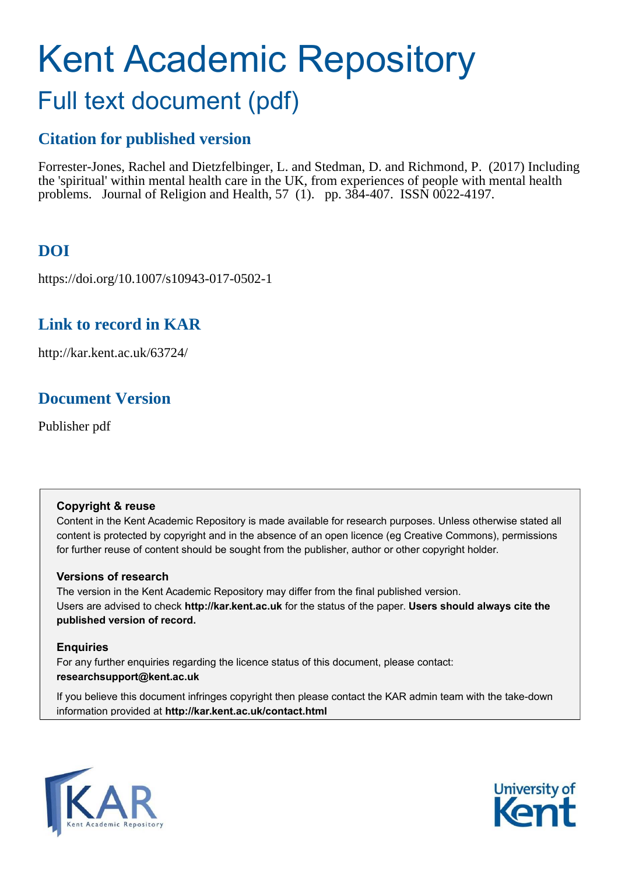# Kent Academic Repository Full text document (pdf)

# **Citation for published version**

Forrester-Jones, Rachel and Dietzfelbinger, L. and Stedman, D. and Richmond, P. (2017) Including the 'spiritual' within mental health care in the UK, from experiences of people with mental health problems. Journal of Religion and Health,  $57$  (1). pp.  $384-407$ . ISSN  $0022-4197$ .

# **DOI**

https://doi.org/10.1007/s10943-017-0502-1

# **Link to record in KAR**

http://kar.kent.ac.uk/63724/

# **Document Version**

Publisher pdf

# **Copyright & reuse**

Content in the Kent Academic Repository is made available for research purposes. Unless otherwise stated all content is protected by copyright and in the absence of an open licence (eg Creative Commons), permissions for further reuse of content should be sought from the publisher, author or other copyright holder.

# **Versions of research**

The version in the Kent Academic Repository may differ from the final published version. Users are advised to check **http://kar.kent.ac.uk** for the status of the paper. **Users should always cite the published version of record.**

# **Enquiries**

For any further enquiries regarding the licence status of this document, please contact: **researchsupport@kent.ac.uk**

If you believe this document infringes copyright then please contact the KAR admin team with the take-down information provided at **http://kar.kent.ac.uk/contact.html**



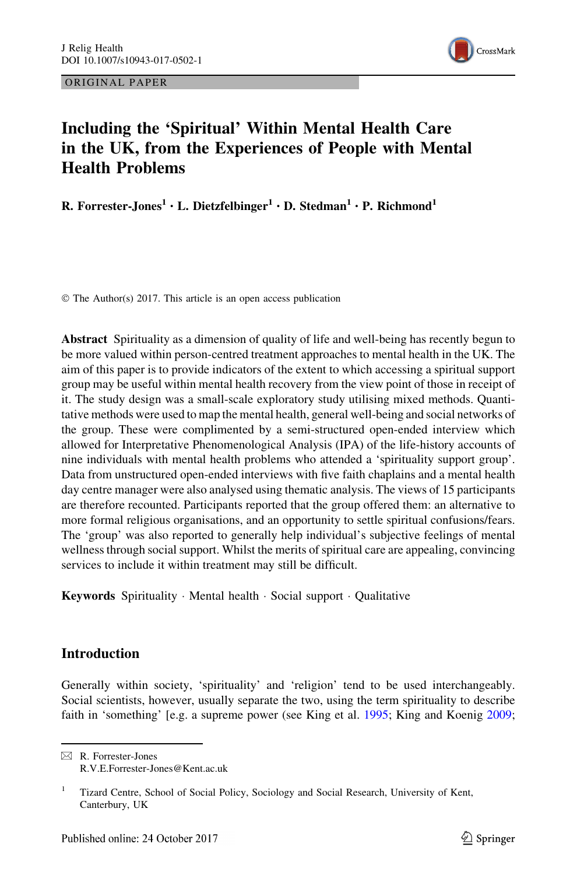ORIGINAL PAPER



# Including the 'Spiritual' Within Mental Health Care in the UK, from the Experiences of People with Mental Health Problems

R. Forrester-Jones $^1\cdot$  L. Dietzfelbinger $^1\cdot$  D. Stedman $^1\cdot$  P. Richmond $^1$ 

 $©$  The Author(s) 2017. This article is an open access publication

Abstract Spirituality as a dimension of quality of life and well-being has recently begun to be more valued within person-centred treatment approaches to mental health in the UK. The aim of this paper is to provide indicators of the extent to which accessing a spiritual support group may be useful within mental health recovery from the view point of those in receipt of it. The study design was a small-scale exploratory study utilising mixed methods. Quantitative methods were used to map the mental health, general well-being and social networks of the group. These were complimented by a semi-structured open-ended interview which allowed for Interpretative Phenomenological Analysis (IPA) of the life-history accounts of nine individuals with mental health problems who attended a 'spirituality support group'. Data from unstructured open-ended interviews with five faith chaplains and a mental health day centre manager were also analysed using thematic analysis. The views of 15 participants are therefore recounted. Participants reported that the group offered them: an alternative to more formal religious organisations, and an opportunity to settle spiritual confusions/fears. The 'group' was also reported to generally help individual's subjective feelings of mental wellness through social support. Whilst the merits of spiritual care are appealing, convincing services to include it within treatment may still be difficult.

Keywords Spirituality · Mental health · Social support · Qualitative

# Introduction

Generally within society, 'spirituality' and 'religion' tend to be used interchangeably. Social scientists, however, usually separate the two, using the term spirituality to describe faith in 'something' [e.g. a supreme power (see King et al. [1995](#page-21-0); King and Koenig [2009;](#page-21-0)

& R. Forrester-Jones R.V.E.Forrester-Jones@Kent.ac.uk

<sup>1</sup> Tizard Centre, School of Social Policy, Sociology and Social Research, University of Kent, Canterbury, UK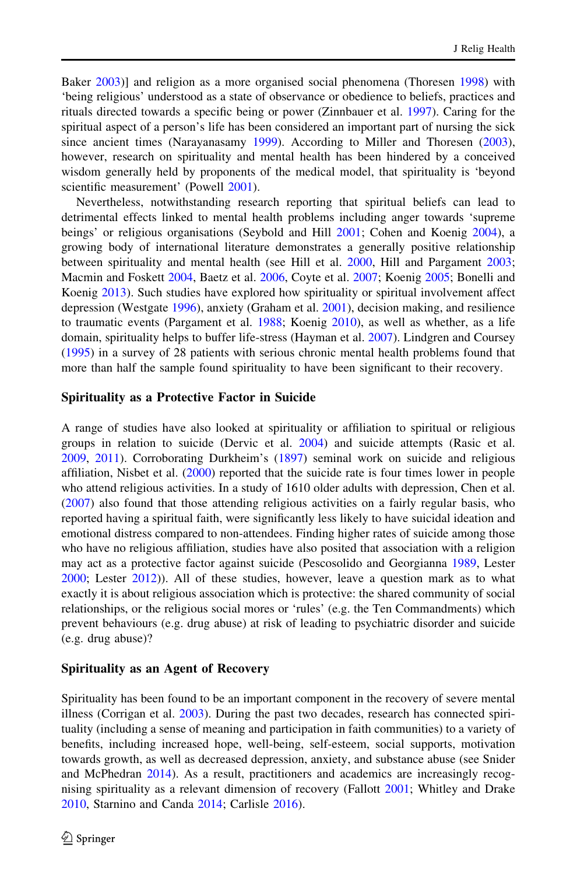Baker [2003\)](#page-20-0)] and religion as a more organised social phenomena (Thoresen [1998](#page-22-0)) with 'being religious' understood as a state of observance or obedience to beliefs, practices and rituals directed towards a specific being or power (Zinnbauer et al. [1997](#page-23-0)). Caring for the spiritual aspect of a person's life has been considered an important part of nursing the sick since ancient times (Narayanasamy [1999](#page-21-0)). According to Miller and Thoresen [\(2003](#page-21-0)), however, research on spirituality and mental health has been hindered by a conceived wisdom generally held by proponents of the medical model, that spirituality is 'beyond scientific measurement' (Powell [2001\)](#page-22-0).

Nevertheless, notwithstanding research reporting that spiritual beliefs can lead to detrimental effects linked to mental health problems including anger towards 'supreme beings' or religious organisations (Seybold and Hill [2001](#page-22-0); Cohen and Koenig [2004\)](#page-20-0), a growing body of international literature demonstrates a generally positive relationship between spirituality and mental health (see Hill et al. [2000,](#page-21-0) Hill and Pargament [2003;](#page-21-0) Macmin and Foskett [2004](#page-21-0), Baetz et al. [2006](#page-20-0), Coyte et al. [2007;](#page-20-0) Koenig [2005;](#page-21-0) Bonelli and Koenig [2013](#page-20-0)). Such studies have explored how spirituality or spiritual involvement affect depression (Westgate [1996\)](#page-22-0), anxiety (Graham et al. [2001](#page-21-0)), decision making, and resilience to traumatic events (Pargament et al. [1988](#page-22-0); Koenig [2010\)](#page-21-0), as well as whether, as a life domain, spirituality helps to buffer life-stress (Hayman et al. [2007](#page-21-0)). Lindgren and Coursey ([1995\)](#page-21-0) in a survey of 28 patients with serious chronic mental health problems found that more than half the sample found spirituality to have been significant to their recovery.

#### Spirituality as a Protective Factor in Suicide

A range of studies have also looked at spirituality or affiliation to spiritual or religious groups in relation to suicide (Dervic et al. [2004\)](#page-20-0) and suicide attempts (Rasic et al. [2009,](#page-22-0) [2011](#page-22-0)). Corroborating Durkheim's [\(1897\)](#page-20-0) seminal work on suicide and religious affiliation, Nisbet et al. [\(2000\)](#page-21-0) reported that the suicide rate is four times lower in people who attend religious activities. In a study of 1610 older adults with depression, Chen et al. ([2007\)](#page-20-0) also found that those attending religious activities on a fairly regular basis, who reported having a spiritual faith, were significantly less likely to have suicidal ideation and emotional distress compared to non-attendees. Finding higher rates of suicide among those who have no religious affiliation, studies have also posited that association with a religion may act as a protective factor against suicide (Pescosolido and Georgianna [1989](#page-22-0), Lester [2000;](#page-21-0) Lester [2012\)](#page-21-0)). All of these studies, however, leave a question mark as to what exactly it is about religious association which is protective: the shared community of social relationships, or the religious social mores or 'rules' (e.g. the Ten Commandments) which prevent behaviours (e.g. drug abuse) at risk of leading to psychiatric disorder and suicide (e.g. drug abuse)?

# Spirituality as an Agent of Recovery

Spirituality has been found to be an important component in the recovery of severe mental illness (Corrigan et al. [2003\)](#page-20-0). During the past two decades, research has connected spirituality (including a sense of meaning and participation in faith communities) to a variety of benefits, including increased hope, well-being, self-esteem, social supports, motivation towards growth, as well as decreased depression, anxiety, and substance abuse (see Snider and McPhedran [2014\)](#page-22-0). As a result, practitioners and academics are increasingly recognising spirituality as a relevant dimension of recovery (Fallott [2001](#page-20-0); Whitley and Drake [2010,](#page-22-0) Starnino and Canda [2014;](#page-22-0) Carlisle [2016](#page-20-0)).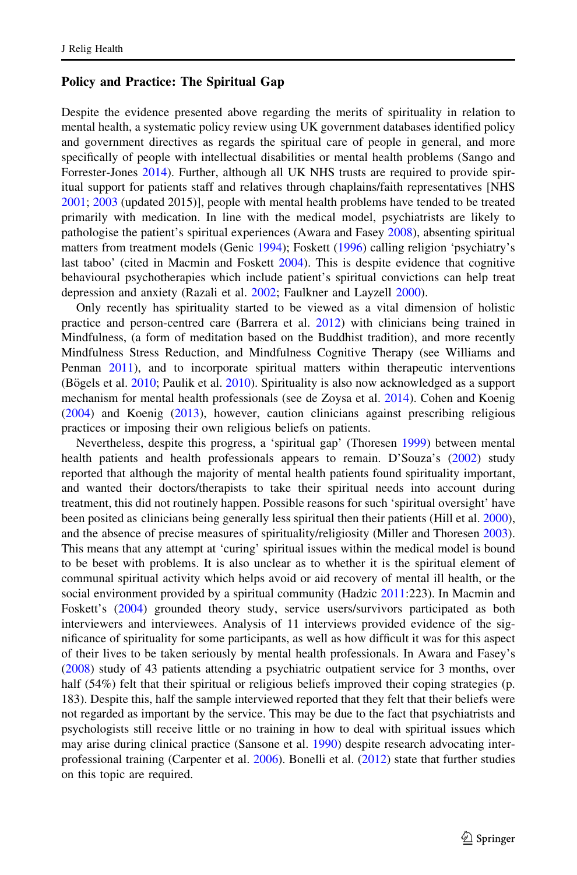#### Policy and Practice: The Spiritual Gap

Despite the evidence presented above regarding the merits of spirituality in relation to mental health, a systematic policy review using UK government databases identified policy and government directives as regards the spiritual care of people in general, and more specifically of people with intellectual disabilities or mental health problems (Sango and Forrester-Jones [2014](#page-22-0)). Further, although all UK NHS trusts are required to provide spiritual support for patients staff and relatives through chaplains/faith representatives [NHS [2001;](#page-21-0) [2003](#page-21-0) (updated 2015)], people with mental health problems have tended to be treated primarily with medication. In line with the medical model, psychiatrists are likely to pathologise the patient's spiritual experiences (Awara and Fasey [2008](#page-19-0)), absenting spiritual matters from treatment models (Genic [1994\)](#page-21-0); Foskett [\(1996](#page-20-0)) calling religion 'psychiatry's last taboo' (cited in Macmin and Foskett [2004](#page-21-0)). This is despite evidence that cognitive behavioural psychotherapies which include patient's spiritual convictions can help treat depression and anxiety (Razali et al. [2002](#page-22-0); Faulkner and Layzell [2000\)](#page-20-0).

Only recently has spirituality started to be viewed as a vital dimension of holistic practice and person-centred care (Barrera et al. [2012\)](#page-20-0) with clinicians being trained in Mindfulness, (a form of meditation based on the Buddhist tradition), and more recently Mindfulness Stress Reduction, and Mindfulness Cognitive Therapy (see Williams and Penman [2011\)](#page-22-0), and to incorporate spiritual matters within therapeutic interventions (Bögels et al.  $2010$ ; Paulik et al.  $2010$ ). Spirituality is also now acknowledged as a support mechanism for mental health professionals (see de Zoysa et al. [2014\)](#page-20-0). Cohen and Koenig ([2004\)](#page-20-0) and Koenig [\(2013](#page-21-0)), however, caution clinicians against prescribing religious practices or imposing their own religious beliefs on patients.

Nevertheless, despite this progress, a 'spiritual gap' (Thoresen [1999\)](#page-22-0) between mental health patients and health professionals appears to remain. D'Souza's [\(2002](#page-20-0)) study reported that although the majority of mental health patients found spirituality important, and wanted their doctors/therapists to take their spiritual needs into account during treatment, this did not routinely happen. Possible reasons for such 'spiritual oversight' have been posited as clinicians being generally less spiritual then their patients (Hill et al. [2000](#page-21-0)), and the absence of precise measures of spirituality/religiosity (Miller and Thoresen [2003](#page-21-0)). This means that any attempt at 'curing' spiritual issues within the medical model is bound to be beset with problems. It is also unclear as to whether it is the spiritual element of communal spiritual activity which helps avoid or aid recovery of mental ill health, or the social environment provided by a spiritual community (Hadzic [2011](#page-21-0):223). In Macmin and Foskett's [\(2004](#page-21-0)) grounded theory study, service users/survivors participated as both interviewers and interviewees. Analysis of 11 interviews provided evidence of the significance of spirituality for some participants, as well as how difficult it was for this aspect of their lives to be taken seriously by mental health professionals. In Awara and Fasey's ([2008\)](#page-19-0) study of 43 patients attending a psychiatric outpatient service for 3 months, over half (54%) felt that their spiritual or religious beliefs improved their coping strategies (p. 183). Despite this, half the sample interviewed reported that they felt that their beliefs were not regarded as important by the service. This may be due to the fact that psychiatrists and psychologists still receive little or no training in how to deal with spiritual issues which may arise during clinical practice (Sansone et al. [1990](#page-22-0)) despite research advocating interprofessional training (Carpenter et al. [2006\)](#page-20-0). Bonelli et al. ([2012\)](#page-20-0) state that further studies on this topic are required.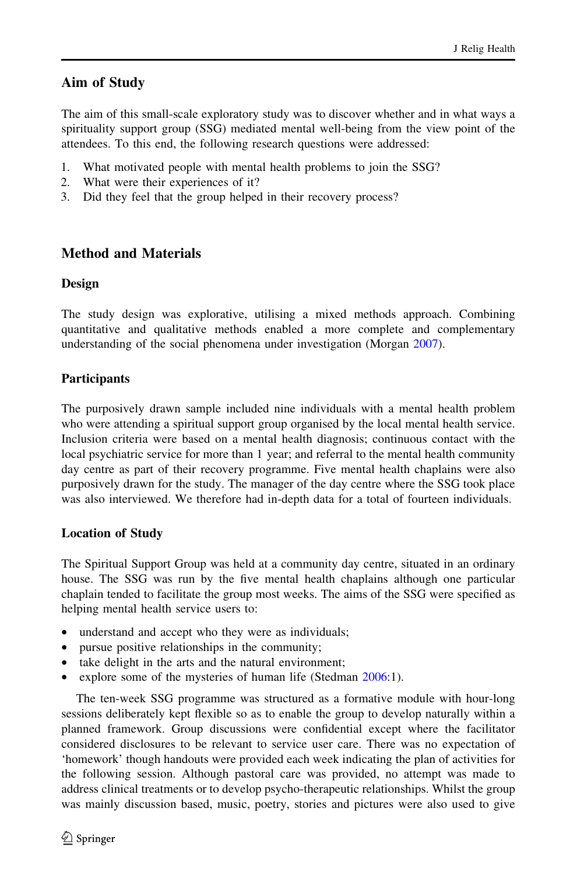# Aim of Study

The aim of this small-scale exploratory study was to discover whether and in what ways a spirituality support group (SSG) mediated mental well-being from the view point of the attendees. To this end, the following research questions were addressed:

- 1. What motivated people with mental health problems to join the SSG?
- 2. What were their experiences of it?
- 3. Did they feel that the group helped in their recovery process?

# Method and Materials

# Design

The study design was explorative, utilising a mixed methods approach. Combining quantitative and qualitative methods enabled a more complete and complementary understanding of the social phenomena under investigation (Morgan [2007\)](#page-21-0).

# **Participants**

The purposively drawn sample included nine individuals with a mental health problem who were attending a spiritual support group organised by the local mental health service. Inclusion criteria were based on a mental health diagnosis; continuous contact with the local psychiatric service for more than 1 year; and referral to the mental health community day centre as part of their recovery programme. Five mental health chaplains were also purposively drawn for the study. The manager of the day centre where the SSG took place was also interviewed. We therefore had in-depth data for a total of fourteen individuals.

## Location of Study

The Spiritual Support Group was held at a community day centre, situated in an ordinary house. The SSG was run by the five mental health chaplains although one particular chaplain tended to facilitate the group most weeks. The aims of the SSG were specified as helping mental health service users to:

- understand and accept who they were as individuals;
- pursue positive relationships in the community;
- take delight in the arts and the natural environment;
- explore some of the mysteries of human life (Stedman [2006:](#page-22-0)1).

The ten-week SSG programme was structured as a formative module with hour-long sessions deliberately kept flexible so as to enable the group to develop naturally within a planned framework. Group discussions were confidential except where the facilitator considered disclosures to be relevant to service user care. There was no expectation of 'homework' though handouts were provided each week indicating the plan of activities for the following session. Although pastoral care was provided, no attempt was made to address clinical treatments or to develop psycho-therapeutic relationships. Whilst the group was mainly discussion based, music, poetry, stories and pictures were also used to give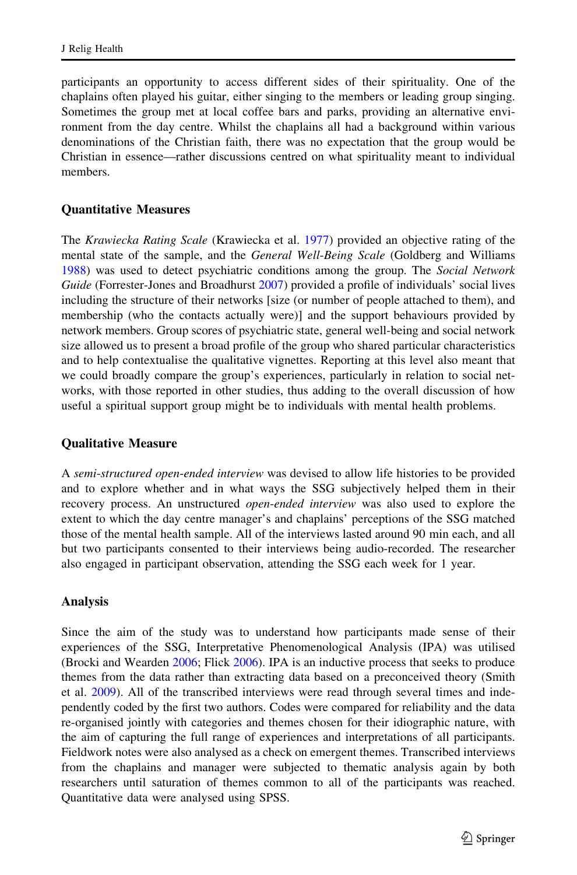<span id="page-5-0"></span>participants an opportunity to access different sides of their spirituality. One of the chaplains often played his guitar, either singing to the members or leading group singing. Sometimes the group met at local coffee bars and parks, providing an alternative environment from the day centre. Whilst the chaplains all had a background within various denominations of the Christian faith, there was no expectation that the group would be Christian in essence—rather discussions centred on what spirituality meant to individual members.

# Quantitative Measures

The *Krawiecka Rating Scale* (Krawiecka et al. [1977\)](#page-21-0) provided an objective rating of the mental state of the sample, and the *General Well*-*Being Scale* (Goldberg and Williams [1988\)](#page-21-0) was used to detect psychiatric conditions among the group. The *Social Network Guide* (Forrester-Jones and Broadhurst [2007](#page-20-0)) provided a profile of individuals' social lives including the structure of their networks [size (or number of people attached to them), and membership (who the contacts actually were)] and the support behaviours provided by network members. Group scores of psychiatric state, general well-being and social network size allowed us to present a broad profile of the group who shared particular characteristics and to help contextualise the qualitative vignettes. Reporting at this level also meant that we could broadly compare the group's experiences, particularly in relation to social networks, with those reported in other studies, thus adding to the overall discussion of how useful a spiritual support group might be to individuals with mental health problems.

# Qualitative Measure

A *semi*-*structured open*-*ended interview* was devised to allow life histories to be provided and to explore whether and in what ways the SSG subjectively helped them in their recovery process. An unstructured *open*-*ended interview* was also used to explore the extent to which the day centre manager's and chaplains' perceptions of the SSG matched those of the mental health sample. All of the interviews lasted around 90 min each, and all but two participants consented to their interviews being audio-recorded. The researcher also engaged in participant observation, attending the SSG each week for 1 year.

## Analysis

Since the aim of the study was to understand how participants made sense of their experiences of the SSG, Interpretative Phenomenological Analysis (IPA) was utilised (Brocki and Wearden [2006](#page-20-0); Flick [2006\)](#page-20-0). IPA is an inductive process that seeks to produce themes from the data rather than extracting data based on a preconceived theory (Smith et al. [2009\)](#page-22-0). All of the transcribed interviews were read through several times and independently coded by the first two authors. Codes were compared for reliability and the data re-organised jointly with categories and themes chosen for their idiographic nature, with the aim of capturing the full range of experiences and interpretations of all participants. Fieldwork notes were also analysed as a check on emergent themes. Transcribed interviews from the chaplains and manager were subjected to thematic analysis again by both researchers until saturation of themes common to all of the participants was reached. Quantitative data were analysed using SPSS.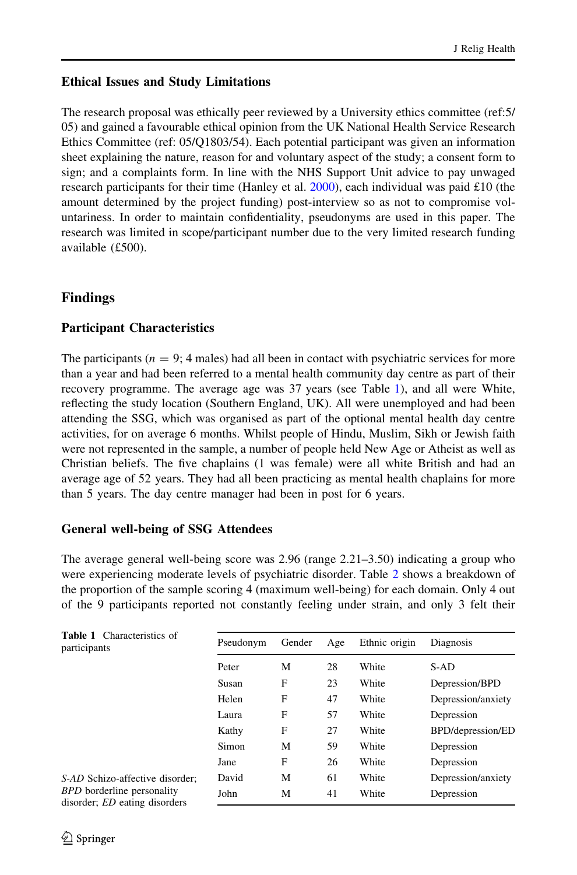# Ethical Issues and Study Limitations

The research proposal was ethically peer reviewed by a University ethics committee (ref:5/ 05) and gained a favourable ethical opinion from the UK National Health Service Research Ethics Committee (ref: 05/Q1803/54). Each potential participant was given an information sheet explaining the nature, reason for and voluntary aspect of the study; a consent form to sign; and a complaints form. In line with the NHS Support Unit advice to pay unwaged research participants for their time (Hanley et al. [2000](#page-21-0)), each individual was paid £10 (the amount determined by the project funding) post-interview so as not to compromise voluntariness. In order to maintain confidentiality, pseudonyms are used in this paper. The research was limited in scope/participant number due to the very limited research funding available (£500).

# Findings

# Participant Characteristics

The participants  $(n = 9; 4$  males) had all been in contact with psychiatric services for more than a year and had been referred to a mental health community day centre as part of their recovery programme. The average age was 37 years (see Table [1](#page-5-0)), and all were White, reflecting the study location (Southern England, UK). All were unemployed and had been attending the SSG, which was organised as part of the optional mental health day centre activities, for on average 6 months. Whilst people of Hindu, Muslim, Sikh or Jewish faith were not represented in the sample, a number of people held New Age or Atheist as well as Christian beliefs. The five chaplains (1 was female) were all white British and had an average age of 52 years. They had all been practicing as mental health chaplains for more than 5 years. The day centre manager had been in post for 6 years.

# General well-being of SSG Attendees

The average general well-being score was 2.96 (range 2.21–3.50) indicating a group who were experiencing moderate levels of psychiatric disorder. Table 2 shows a breakdown of the proportion of the sample scoring 4 (maximum well-being) for each domain. Only 4 out of the 9 participants reported not constantly feeling under strain, and only 3 felt their

| <b>Table 1</b> Characteristics of<br>participants                                                            | Pseudonym | Gender | Age | Ethnic origin | Diagnosis          |  |
|--------------------------------------------------------------------------------------------------------------|-----------|--------|-----|---------------|--------------------|--|
|                                                                                                              | Peter     | М      | 28  | White         | S-AD               |  |
|                                                                                                              | Susan     | F      | 23  | White         | Depression/BPD     |  |
|                                                                                                              | Helen     | F      | 47  | White         | Depression/anxiety |  |
|                                                                                                              | Laura     | F      | 57  | White         | Depression         |  |
|                                                                                                              | Kathy     | F      | 27  | White         | BPD/depression/ED  |  |
|                                                                                                              | Simon     | M      | 59  | White         | Depression         |  |
|                                                                                                              | Jane      | F      | 26  | White         | Depression         |  |
| S-AD Schizo-affective disorder:<br><i>BPD</i> borderline personality<br>disorder; <i>ED</i> eating disorders | David     | M      | 61  | White         | Depression/anxiety |  |
|                                                                                                              | John      | M      | 41  | White         | Depression         |  |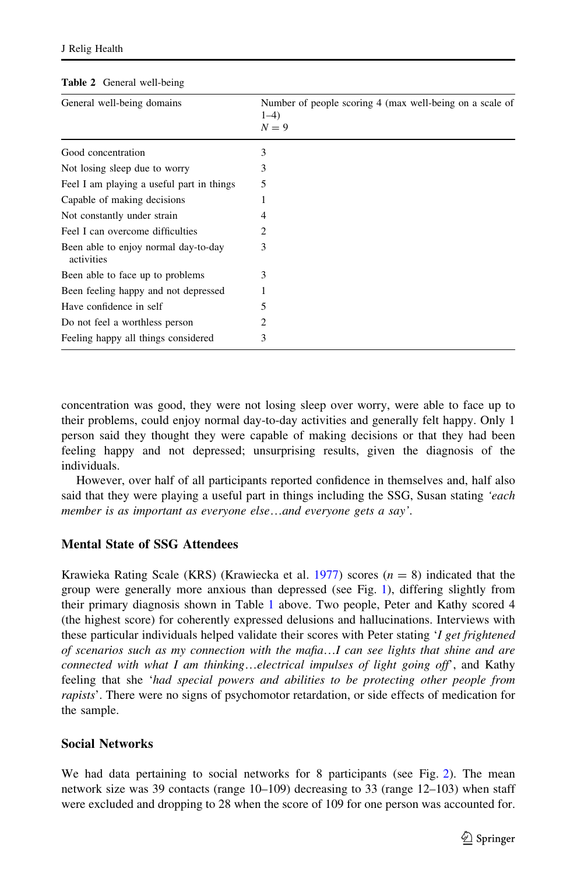#### Table 2 General well-being

| General well-being domains                         | Number of people scoring 4 (max well-being on a scale of<br>$1-4)$<br>$N=9$ |
|----------------------------------------------------|-----------------------------------------------------------------------------|
| Good concentration                                 | 3                                                                           |
| Not losing sleep due to worry                      | 3                                                                           |
| Feel I am playing a useful part in things          | 5                                                                           |
| Capable of making decisions                        |                                                                             |
| Not constantly under strain                        | 4                                                                           |
| Feel I can overcome difficulties                   | 2                                                                           |
| Been able to enjoy normal day-to-day<br>activities | 3                                                                           |
| Been able to face up to problems                   | 3                                                                           |
| Been feeling happy and not depressed               |                                                                             |
| Have confidence in self                            | 5                                                                           |
| Do not feel a worthless person                     | 2                                                                           |
| Feeling happy all things considered                | 3                                                                           |

concentration was good, they were not losing sleep over worry, were able to face up to their problems, could enjoy normal day-to-day activities and generally felt happy. Only 1 person said they thought they were capable of making decisions or that they had been feeling happy and not depressed; unsurprising results, given the diagnosis of the individuals.

However, over half of all participants reported confidence in themselves and, half also said that they were playing a useful part in things including the SSG, Susan stating *'each member is as important as everyone else*…*and everyone gets a say'*.

# Mental State of SSG Attendees

Krawieka Rating Scale (KRS) (Krawiecka et al. [1977](#page-21-0)) scores (*n* = 8) indicated that the group were generally more anxious than depressed (see Fig. 1), differing slightly from their primary diagnosis shown in Table [1](#page-5-0) above. Two people, Peter and Kathy scored 4 (the highest score) for coherently expressed delusions and hallucinations. Interviews with these particular individuals helped validate their scores with Peter stating '*I get frightened of scenarios such as my connection with the mafia*…*I can see lights that shine and are connected with what I am thinking*…*electrical impulses of light going off*', and Kathy feeling that she '*had special powers and abilities to be protecting other people from rapists*'. There were no signs of psychomotor retardation, or side effects of medication for the sample.

# Social Networks

We had data pertaining to social networks for 8 participants (see Fig. 2). The mean network size was 39 contacts (range 10–109) decreasing to 33 (range 12–103) when staff were excluded and dropping to 28 when the score of 109 for one person was accounted for.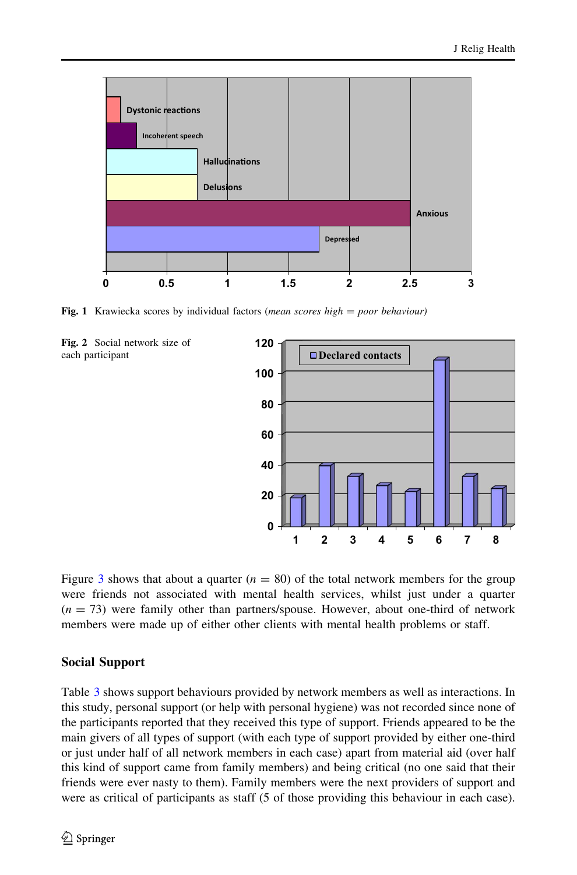<span id="page-8-0"></span>

Fig. 1 Krawiecka scores by individual factors (*mean scores high* = *poor behaviour)*





Figure 3 shows that about a quarter  $(n = 80)$  of the total network members for the group were friends not associated with mental health services, whilst just under a quarter (*n* = 73) were family other than partners/spouse. However, about one-third of network members were made up of either other clients with mental health problems or staff.

## Social Support

Table 3 shows support behaviours provided by network members as well as interactions. In this study, personal support (or help with personal hygiene) was not recorded since none of the participants reported that they received this type of support. Friends appeared to be the main givers of all types of support (with each type of support provided by either one-third or just under half of all network members in each case) apart from material aid (over half this kind of support came from family members) and being critical (no one said that their friends were ever nasty to them). Family members were the next providers of support and were as critical of participants as staff (5 of those providing this behaviour in each case).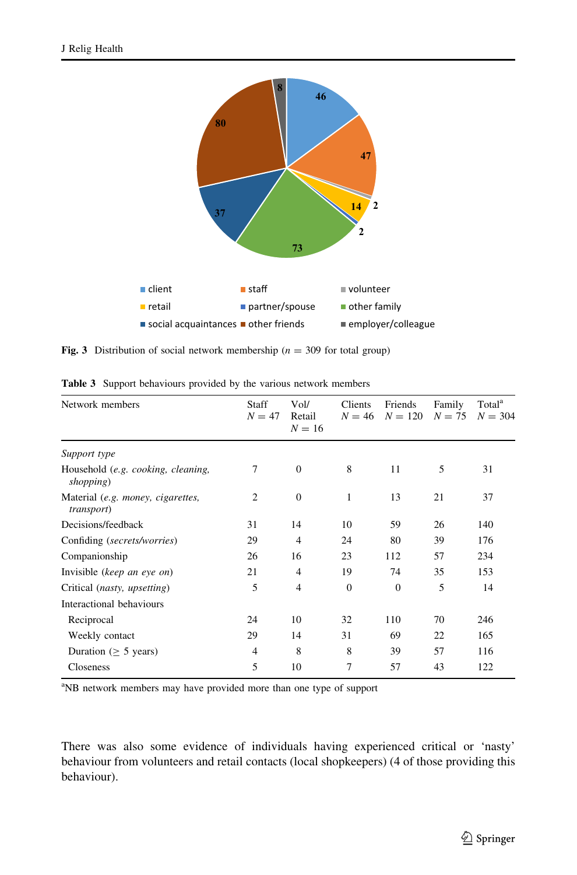

Fig. 3 Distribution of social network membership ( $n = 309$  for total group)

| Network members                                         | Staff<br>$N = 47$ | Vol/<br>Retail<br>$N=16$ | Clients<br>$N = 46$ | Friends<br>$N = 120$ | Family<br>$N = 75$ | Total <sup>a</sup><br>$N = 304$ |
|---------------------------------------------------------|-------------------|--------------------------|---------------------|----------------------|--------------------|---------------------------------|
| Support type                                            |                   |                          |                     |                      |                    |                                 |
| Household (e.g. cooking, cleaning,<br>shopping)         | 7                 | $\mathbf{0}$             | 8                   | 11                   | 5                  | 31                              |
| Material (e.g. money, cigarettes,<br><i>transport</i> ) | 2                 | $\mathbf{0}$             | 1                   | 13                   | 21                 | 37                              |
| Decisions/feedback                                      | 31                | 14                       | 10                  | 59                   | 26                 | 140                             |
| Confiding (secrets/worries)                             | 29                | $\overline{4}$           | 24                  | 80                   | 39                 | 176                             |
| Companionship                                           | 26                | 16                       | 23                  | 112                  | 57                 | 234                             |
| Invisible (keep an eye on)                              | 21                | $\overline{4}$           | 19                  | 74                   | 35                 | 153                             |
| Critical (nasty, upsetting)                             | 5                 | $\overline{4}$           | $\overline{0}$      | $\mathbf{0}$         | 5                  | 14                              |
| Interactional behaviours                                |                   |                          |                     |                      |                    |                                 |
| Reciprocal                                              | 24                | 10                       | 32                  | 110                  | 70                 | 246                             |
| Weekly contact                                          | 29                | 14                       | 31                  | 69                   | 22                 | 165                             |
| Duration ( $\geq$ 5 years)                              | $\overline{4}$    | 8                        | 8                   | 39                   | 57                 | 116                             |
| Closeness                                               | 5                 | 10                       | 7                   | 57                   | 43                 | 122                             |

Table 3 Support behaviours provided by the various network members

<sup>a</sup>NB network members may have provided more than one type of support

There was also some evidence of individuals having experienced critical or 'nasty' behaviour from volunteers and retail contacts (local shopkeepers) (4 of those providing this behaviour).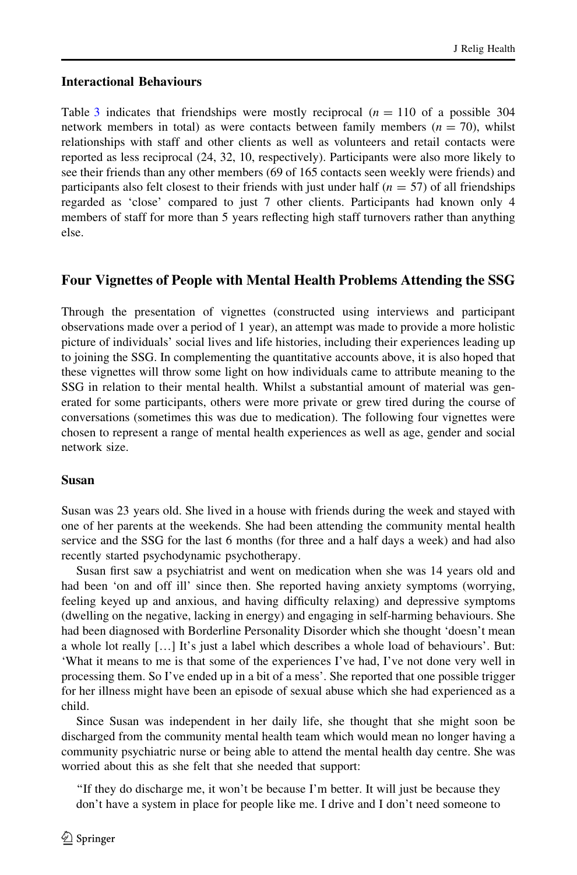#### Interactional Behaviours

Table [3](#page-8-0) indicates that friendships were mostly reciprocal  $(n = 110)$  of a possible 304 network members in total) as were contacts between family members  $(n = 70)$ , whilst relationships with staff and other clients as well as volunteers and retail contacts were reported as less reciprocal (24, 32, 10, respectively). Participants were also more likely to see their friends than any other members (69 of 165 contacts seen weekly were friends) and participants also felt closest to their friends with just under half  $(n = 57)$  of all friendships regarded as 'close' compared to just 7 other clients. Participants had known only 4 members of staff for more than 5 years reflecting high staff turnovers rather than anything else.

# Four Vignettes of People with Mental Health Problems Attending the SSG

Through the presentation of vignettes (constructed using interviews and participant observations made over a period of 1 year), an attempt was made to provide a more holistic picture of individuals' social lives and life histories, including their experiences leading up to joining the SSG. In complementing the quantitative accounts above, it is also hoped that these vignettes will throw some light on how individuals came to attribute meaning to the SSG in relation to their mental health. Whilst a substantial amount of material was generated for some participants, others were more private or grew tired during the course of conversations (sometimes this was due to medication). The following four vignettes were chosen to represent a range of mental health experiences as well as age, gender and social network size.

## Susan

Susan was 23 years old. She lived in a house with friends during the week and stayed with one of her parents at the weekends. She had been attending the community mental health service and the SSG for the last 6 months (for three and a half days a week) and had also recently started psychodynamic psychotherapy.

Susan first saw a psychiatrist and went on medication when she was 14 years old and had been 'on and off ill' since then. She reported having anxiety symptoms (worrying, feeling keyed up and anxious, and having difficulty relaxing) and depressive symptoms (dwelling on the negative, lacking in energy) and engaging in self-harming behaviours. She had been diagnosed with Borderline Personality Disorder which she thought 'doesn't mean a whole lot really […] It's just a label which describes a whole load of behaviours'. But: 'What it means to me is that some of the experiences I've had, I've not done very well in processing them. So I've ended up in a bit of a mess'. She reported that one possible trigger for her illness might have been an episode of sexual abuse which she had experienced as a child.

Since Susan was independent in her daily life, she thought that she might soon be discharged from the community mental health team which would mean no longer having a community psychiatric nurse or being able to attend the mental health day centre. She was worried about this as she felt that she needed that support:

''If they do discharge me, it won't be because I'm better. It will just be because they don't have a system in place for people like me. I drive and I don't need someone to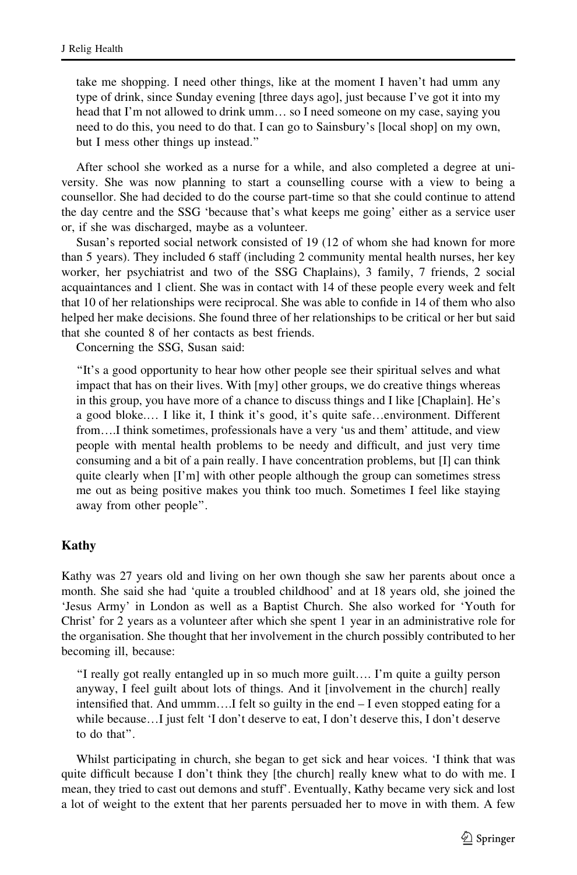take me shopping. I need other things, like at the moment I haven't had umm any type of drink, since Sunday evening [three days ago], just because I've got it into my head that I'm not allowed to drink umm… so I need someone on my case, saying you need to do this, you need to do that. I can go to Sainsbury's [local shop] on my own, but I mess other things up instead.''

After school she worked as a nurse for a while, and also completed a degree at university. She was now planning to start a counselling course with a view to being a counsellor. She had decided to do the course part-time so that she could continue to attend the day centre and the SSG 'because that's what keeps me going' either as a service user or, if she was discharged, maybe as a volunteer.

Susan's reported social network consisted of 19 (12 of whom she had known for more than 5 years). They included 6 staff (including 2 community mental health nurses, her key worker, her psychiatrist and two of the SSG Chaplains), 3 family, 7 friends, 2 social acquaintances and 1 client. She was in contact with 14 of these people every week and felt that 10 of her relationships were reciprocal. She was able to confide in 14 of them who also helped her make decisions. She found three of her relationships to be critical or her but said that she counted 8 of her contacts as best friends.

Concerning the SSG, Susan said:

''It's a good opportunity to hear how other people see their spiritual selves and what impact that has on their lives. With [my] other groups, we do creative things whereas in this group, you have more of a chance to discuss things and I like [Chaplain]. He's a good bloke.… I like it, I think it's good, it's quite safe…environment. Different from….I think sometimes, professionals have a very 'us and them' attitude, and view people with mental health problems to be needy and difficult, and just very time consuming and a bit of a pain really. I have concentration problems, but [I] can think quite clearly when [I'm] with other people although the group can sometimes stress me out as being positive makes you think too much. Sometimes I feel like staying away from other people''.

## Kathy

Kathy was 27 years old and living on her own though she saw her parents about once a month. She said she had 'quite a troubled childhood' and at 18 years old, she joined the 'Jesus Army' in London as well as a Baptist Church. She also worked for 'Youth for Christ' for 2 years as a volunteer after which she spent 1 year in an administrative role for the organisation. She thought that her involvement in the church possibly contributed to her becoming ill, because:

''I really got really entangled up in so much more guilt…. I'm quite a guilty person anyway, I feel guilt about lots of things. And it [involvement in the church] really intensified that. And ummm….I felt so guilty in the end – I even stopped eating for a while because…I just felt 'I don't deserve to eat, I don't deserve this, I don't deserve to do that''.

Whilst participating in church, she began to get sick and hear voices. 'I think that was quite difficult because I don't think they [the church] really knew what to do with me. I mean, they tried to cast out demons and stuff'. Eventually, Kathy became very sick and lost a lot of weight to the extent that her parents persuaded her to move in with them. A few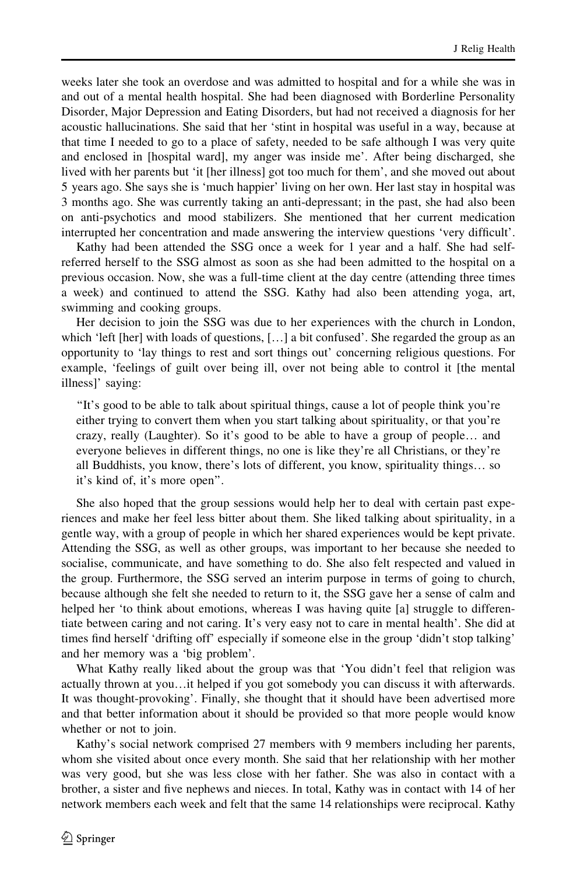weeks later she took an overdose and was admitted to hospital and for a while she was in and out of a mental health hospital. She had been diagnosed with Borderline Personality Disorder, Major Depression and Eating Disorders, but had not received a diagnosis for her acoustic hallucinations. She said that her 'stint in hospital was useful in a way, because at that time I needed to go to a place of safety, needed to be safe although I was very quite and enclosed in [hospital ward], my anger was inside me'. After being discharged, she lived with her parents but 'it [her illness] got too much for them', and she moved out about 5 years ago. She says she is 'much happier' living on her own. Her last stay in hospital was 3 months ago. She was currently taking an anti-depressant; in the past, she had also been on anti-psychotics and mood stabilizers. She mentioned that her current medication interrupted her concentration and made answering the interview questions 'very difficult'.

Kathy had been attended the SSG once a week for 1 year and a half. She had selfreferred herself to the SSG almost as soon as she had been admitted to the hospital on a previous occasion. Now, she was a full-time client at the day centre (attending three times a week) and continued to attend the SSG. Kathy had also been attending yoga, art, swimming and cooking groups.

Her decision to join the SSG was due to her experiences with the church in London, which 'left [her] with loads of questions, [...] a bit confused'. She regarded the group as an opportunity to 'lay things to rest and sort things out' concerning religious questions. For example, 'feelings of guilt over being ill, over not being able to control it [the mental illness]' saying:

''It's good to be able to talk about spiritual things, cause a lot of people think you're either trying to convert them when you start talking about spirituality, or that you're crazy, really (Laughter). So it's good to be able to have a group of people… and everyone believes in different things, no one is like they're all Christians, or they're all Buddhists, you know, there's lots of different, you know, spirituality things… so it's kind of, it's more open''.

She also hoped that the group sessions would help her to deal with certain past experiences and make her feel less bitter about them. She liked talking about spirituality, in a gentle way, with a group of people in which her shared experiences would be kept private. Attending the SSG, as well as other groups, was important to her because she needed to socialise, communicate, and have something to do. She also felt respected and valued in the group. Furthermore, the SSG served an interim purpose in terms of going to church, because although she felt she needed to return to it, the SSG gave her a sense of calm and helped her 'to think about emotions, whereas I was having quite [a] struggle to differentiate between caring and not caring. It's very easy not to care in mental health'. She did at times find herself 'drifting off' especially if someone else in the group 'didn't stop talking' and her memory was a 'big problem'.

What Kathy really liked about the group was that 'You didn't feel that religion was actually thrown at you…it helped if you got somebody you can discuss it with afterwards. It was thought-provoking'. Finally, she thought that it should have been advertised more and that better information about it should be provided so that more people would know whether or not to join.

Kathy's social network comprised 27 members with 9 members including her parents, whom she visited about once every month. She said that her relationship with her mother was very good, but she was less close with her father. She was also in contact with a brother, a sister and five nephews and nieces. In total, Kathy was in contact with 14 of her network members each week and felt that the same 14 relationships were reciprocal. Kathy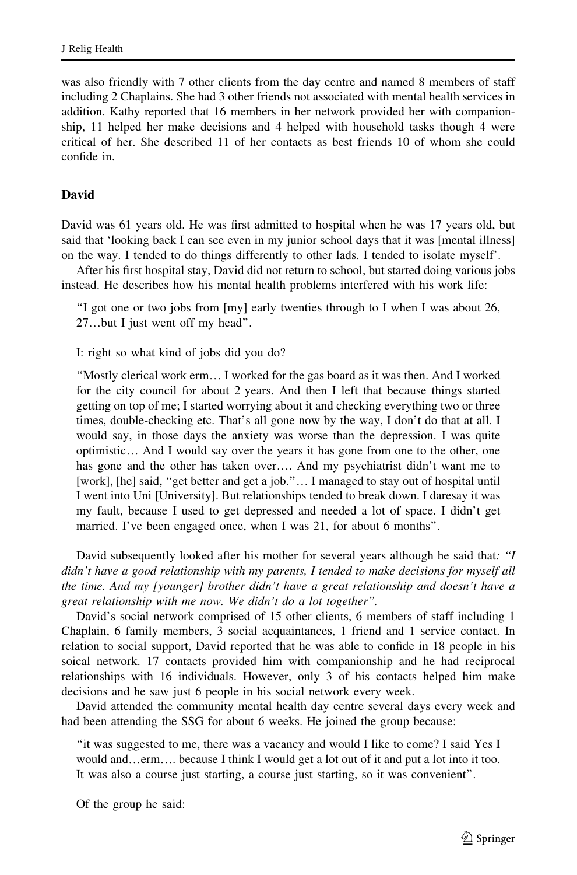was also friendly with 7 other clients from the day centre and named 8 members of staff including 2 Chaplains. She had 3 other friends not associated with mental health services in addition. Kathy reported that 16 members in her network provided her with companionship, 11 helped her make decisions and 4 helped with household tasks though 4 were critical of her. She described 11 of her contacts as best friends 10 of whom she could confide in.

# David

David was 61 years old. He was first admitted to hospital when he was 17 years old, but said that 'looking back I can see even in my junior school days that it was [mental illness] on the way. I tended to do things differently to other lads. I tended to isolate myself'.

After his first hospital stay, David did not return to school, but started doing various jobs instead. He describes how his mental health problems interfered with his work life:

''I got one or two jobs from [my] early twenties through to I when I was about 26, 27…but I just went off my head''.

I: right so what kind of jobs did you do?

''Mostly clerical work erm… I worked for the gas board as it was then. And I worked for the city council for about 2 years. And then I left that because things started getting on top of me; I started worrying about it and checking everything two or three times, double-checking etc. That's all gone now by the way, I don't do that at all. I would say, in those days the anxiety was worse than the depression. I was quite optimistic… And I would say over the years it has gone from one to the other, one has gone and the other has taken over…. And my psychiatrist didn't want me to [work], [he] said, ''get better and get a job.''… I managed to stay out of hospital until I went into Uni [University]. But relationships tended to break down. I daresay it was my fault, because I used to get depressed and needed a lot of space. I didn't get married. I've been engaged once, when I was 21, for about 6 months''.

David subsequently looked after his mother for several years although he said that*: ''I didn't have a good relationship with my parents, I tended to make decisions for myself all the time. And my [younger] brother didn't have a great relationship and doesn't have a great relationship with me now. We didn't do a lot together''.*

David's social network comprised of 15 other clients, 6 members of staff including 1 Chaplain, 6 family members, 3 social acquaintances, 1 friend and 1 service contact. In relation to social support, David reported that he was able to confide in 18 people in his soical network. 17 contacts provided him with companionship and he had reciprocal relationships with 16 individuals. However, only 3 of his contacts helped him make decisions and he saw just 6 people in his social network every week.

David attended the community mental health day centre several days every week and had been attending the SSG for about 6 weeks. He joined the group because:

''it was suggested to me, there was a vacancy and would I like to come? I said Yes I would and…erm…. because I think I would get a lot out of it and put a lot into it too. It was also a course just starting, a course just starting, so it was convenient''.

Of the group he said: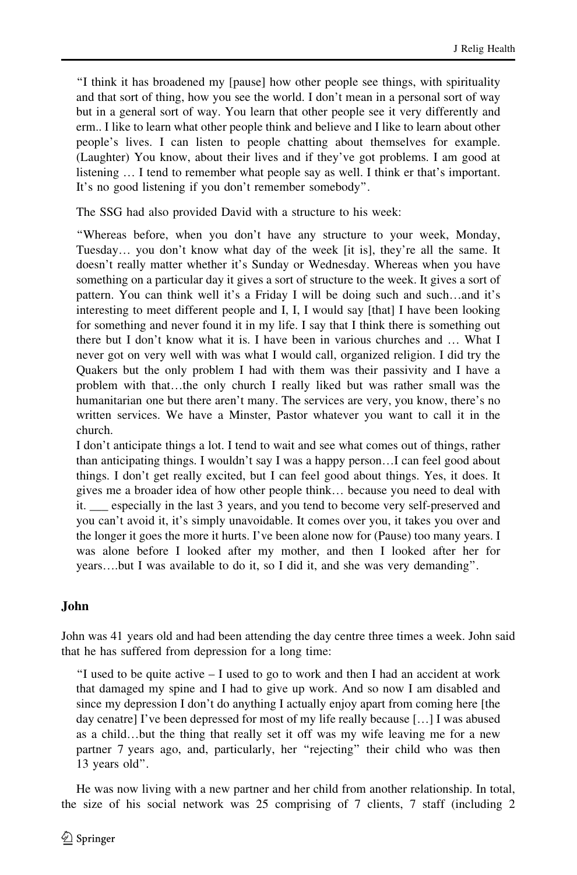''I think it has broadened my [pause] how other people see things, with spirituality and that sort of thing, how you see the world. I don't mean in a personal sort of way but in a general sort of way. You learn that other people see it very differently and erm.. I like to learn what other people think and believe and I like to learn about other people's lives. I can listen to people chatting about themselves for example. (Laughter) You know, about their lives and if they've got problems. I am good at listening … I tend to remember what people say as well. I think er that's important. It's no good listening if you don't remember somebody''.

The SSG had also provided David with a structure to his week:

''Whereas before, when you don't have any structure to your week, Monday, Tuesday… you don't know what day of the week [it is], they're all the same. It doesn't really matter whether it's Sunday or Wednesday. Whereas when you have something on a particular day it gives a sort of structure to the week. It gives a sort of pattern. You can think well it's a Friday I will be doing such and such…and it's interesting to meet different people and I, I, I would say [that] I have been looking for something and never found it in my life. I say that I think there is something out there but I don't know what it is. I have been in various churches and … What I never got on very well with was what I would call, organized religion. I did try the Quakers but the only problem I had with them was their passivity and I have a problem with that…the only church I really liked but was rather small was the humanitarian one but there aren't many. The services are very, you know, there's no written services. We have a Minster, Pastor whatever you want to call it in the church.

I don't anticipate things a lot. I tend to wait and see what comes out of things, rather than anticipating things. I wouldn't say I was a happy person…I can feel good about things. I don't get really excited, but I can feel good about things. Yes, it does. It gives me a broader idea of how other people think… because you need to deal with it. \_\_\_ especially in the last 3 years, and you tend to become very self-preserved and you can't avoid it, it's simply unavoidable. It comes over you, it takes you over and the longer it goes the more it hurts. I've been alone now for (Pause) too many years. I was alone before I looked after my mother, and then I looked after her for years….but I was available to do it, so I did it, and she was very demanding''.

## John

John was 41 years old and had been attending the day centre three times a week. John said that he has suffered from depression for a long time:

''I used to be quite active – I used to go to work and then I had an accident at work that damaged my spine and I had to give up work. And so now I am disabled and since my depression I don't do anything I actually enjoy apart from coming here [the day cenatre] I've been depressed for most of my life really because […] I was abused as a child…but the thing that really set it off was my wife leaving me for a new partner 7 years ago, and, particularly, her "rejecting" their child who was then 13 years old''.

He was now living with a new partner and her child from another relationship. In total, the size of his social network was 25 comprising of 7 clients, 7 staff (including 2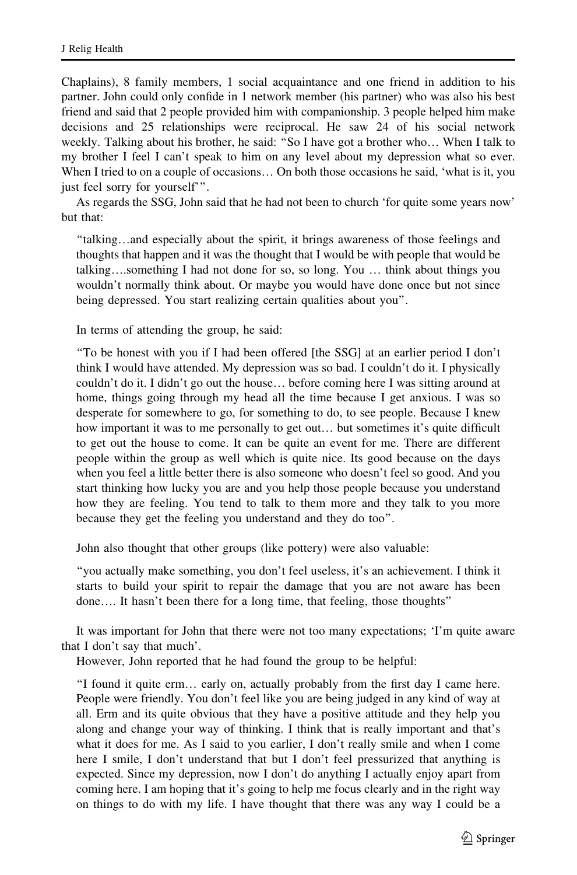Chaplains), 8 family members, 1 social acquaintance and one friend in addition to his partner. John could only confide in 1 network member (his partner) who was also his best friend and said that 2 people provided him with companionship. 3 people helped him make decisions and 25 relationships were reciprocal. He saw 24 of his social network weekly. Talking about his brother, he said: ''So I have got a brother who… When I talk to my brother I feel I can't speak to him on any level about my depression what so ever. When I tried to on a couple of occasions... On both those occasions he said, 'what is it, you just feel sorry for yourself'''.

As regards the SSG, John said that he had not been to church 'for quite some years now' but that:

''talking…and especially about the spirit, it brings awareness of those feelings and thoughts that happen and it was the thought that I would be with people that would be talking….something I had not done for so, so long. You … think about things you wouldn't normally think about. Or maybe you would have done once but not since being depressed. You start realizing certain qualities about you''.

In terms of attending the group, he said:

''To be honest with you if I had been offered [the SSG] at an earlier period I don't think I would have attended. My depression was so bad. I couldn't do it. I physically couldn't do it. I didn't go out the house… before coming here I was sitting around at home, things going through my head all the time because I get anxious. I was so desperate for somewhere to go, for something to do, to see people. Because I knew how important it was to me personally to get out… but sometimes it's quite difficult to get out the house to come. It can be quite an event for me. There are different people within the group as well which is quite nice. Its good because on the days when you feel a little better there is also someone who doesn't feel so good. And you start thinking how lucky you are and you help those people because you understand how they are feeling. You tend to talk to them more and they talk to you more because they get the feeling you understand and they do too''.

John also thought that other groups (like pottery) were also valuable:

''you actually make something, you don't feel useless, it's an achievement. I think it starts to build your spirit to repair the damage that you are not aware has been done…. It hasn't been there for a long time, that feeling, those thoughts''

It was important for John that there were not too many expectations; 'I'm quite aware that I don't say that much'.

However, John reported that he had found the group to be helpful:

''I found it quite erm… early on, actually probably from the first day I came here. People were friendly. You don't feel like you are being judged in any kind of way at all. Erm and its quite obvious that they have a positive attitude and they help you along and change your way of thinking. I think that is really important and that's what it does for me. As I said to you earlier, I don't really smile and when I come here I smile, I don't understand that but I don't feel pressurized that anything is expected. Since my depression, now I don't do anything I actually enjoy apart from coming here. I am hoping that it's going to help me focus clearly and in the right way on things to do with my life. I have thought that there was any way I could be a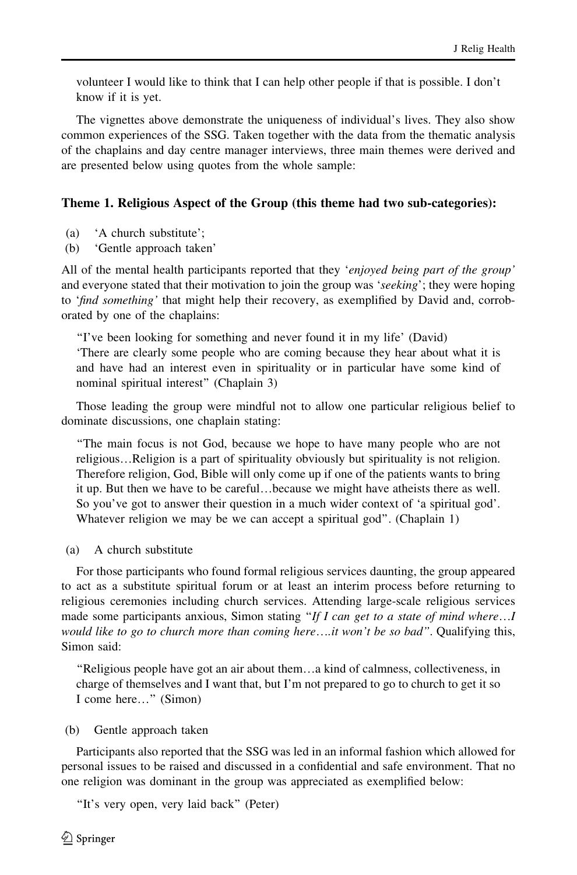volunteer I would like to think that I can help other people if that is possible. I don't know if it is yet.

The vignettes above demonstrate the uniqueness of individual's lives. They also show common experiences of the SSG. Taken together with the data from the thematic analysis of the chaplains and day centre manager interviews, three main themes were derived and are presented below using quotes from the whole sample:

## Theme 1. Religious Aspect of the Group (this theme had two sub-categories):

- (a) 'A church substitute';
- (b) 'Gentle approach taken'

All of the mental health participants reported that they '*enjoyed being part of the group'* and everyone stated that their motivation to join the group was '*seeking*'; they were hoping to '*find something'* that might help their recovery, as exemplified by David and, corroborated by one of the chaplains:

"I've been looking for something and never found it in my life' (David) 'There are clearly some people who are coming because they hear about what it is and have had an interest even in spirituality or in particular have some kind of nominal spiritual interest'' (Chaplain 3)

Those leading the group were mindful not to allow one particular religious belief to dominate discussions, one chaplain stating:

''The main focus is not God, because we hope to have many people who are not religious…Religion is a part of spirituality obviously but spirituality is not religion. Therefore religion, God, Bible will only come up if one of the patients wants to bring it up. But then we have to be careful…because we might have atheists there as well. So you've got to answer their question in a much wider context of 'a spiritual god'. Whatever religion we may be we can accept a spiritual god". (Chaplain 1)

(a) A church substitute

For those participants who found formal religious services daunting, the group appeared to act as a substitute spiritual forum or at least an interim process before returning to religious ceremonies including church services. Attending large-scale religious services made some participants anxious, Simon stating ''*If I can get to a state of mind where*…*I would like to go to church more than coming here*…*.it won't be so bad''*. Qualifying this, Simon said:

''Religious people have got an air about them…a kind of calmness, collectiveness, in charge of themselves and I want that, but I'm not prepared to go to church to get it so I come here…'' (Simon)

(b) Gentle approach taken

Participants also reported that the SSG was led in an informal fashion which allowed for personal issues to be raised and discussed in a confidential and safe environment. That no one religion was dominant in the group was appreciated as exemplified below:

"It's very open, very laid back" (Peter)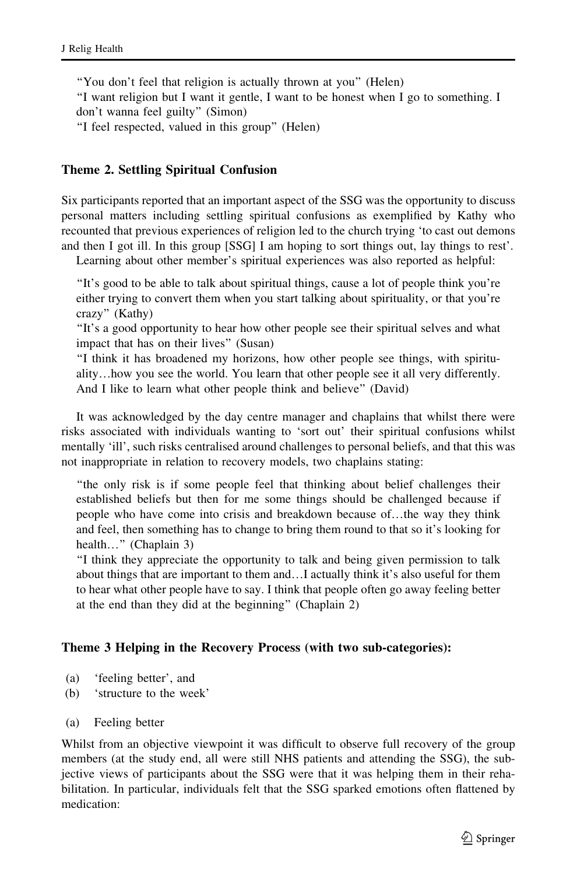"You don't feel that religion is actually thrown at you" (Helen)

''I want religion but I want it gentle, I want to be honest when I go to something. I don't wanna feel guilty'' (Simon)

"I feel respected, valued in this group" (Helen)

#### Theme 2. Settling Spiritual Confusion

Six participants reported that an important aspect of the SSG was the opportunity to discuss personal matters including settling spiritual confusions as exemplified by Kathy who recounted that previous experiences of religion led to the church trying 'to cast out demons and then I got ill. In this group [SSG] I am hoping to sort things out, lay things to rest'.

Learning about other member's spiritual experiences was also reported as helpful:

''It's good to be able to talk about spiritual things, cause a lot of people think you're either trying to convert them when you start talking about spirituality, or that you're crazy'' (Kathy)

''It's a good opportunity to hear how other people see their spiritual selves and what impact that has on their lives'' (Susan)

''I think it has broadened my horizons, how other people see things, with spirituality…how you see the world. You learn that other people see it all very differently. And I like to learn what other people think and believe'' (David)

It was acknowledged by the day centre manager and chaplains that whilst there were risks associated with individuals wanting to 'sort out' their spiritual confusions whilst mentally 'ill', such risks centralised around challenges to personal beliefs, and that this was not inappropriate in relation to recovery models, two chaplains stating:

''the only risk is if some people feel that thinking about belief challenges their established beliefs but then for me some things should be challenged because if people who have come into crisis and breakdown because of…the way they think and feel, then something has to change to bring them round to that so it's looking for health…'' (Chaplain 3)

''I think they appreciate the opportunity to talk and being given permission to talk about things that are important to them and…I actually think it's also useful for them to hear what other people have to say. I think that people often go away feeling better at the end than they did at the beginning'' (Chaplain 2)

#### Theme 3 Helping in the Recovery Process (with two sub-categories):

- (a) 'feeling better', and
- (b) 'structure to the week'
- (a) Feeling better

Whilst from an objective viewpoint it was difficult to observe full recovery of the group members (at the study end, all were still NHS patients and attending the SSG), the subjective views of participants about the SSG were that it was helping them in their rehabilitation. In particular, individuals felt that the SSG sparked emotions often flattened by medication: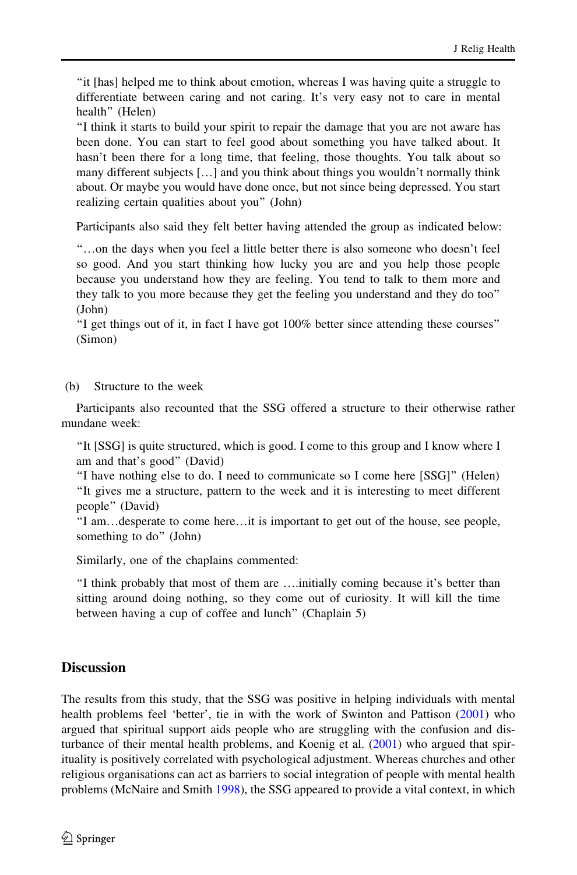''it [has] helped me to think about emotion, whereas I was having quite a struggle to differentiate between caring and not caring. It's very easy not to care in mental health'' (Helen)

''I think it starts to build your spirit to repair the damage that you are not aware has been done. You can start to feel good about something you have talked about. It hasn't been there for a long time, that feeling, those thoughts. You talk about so many different subjects […] and you think about things you wouldn't normally think about. Or maybe you would have done once, but not since being depressed. You start realizing certain qualities about you'' (John)

Participants also said they felt better having attended the group as indicated below:

''…on the days when you feel a little better there is also someone who doesn't feel so good. And you start thinking how lucky you are and you help those people because you understand how they are feeling. You tend to talk to them more and they talk to you more because they get the feeling you understand and they do too'' (John)

''I get things out of it, in fact I have got 100% better since attending these courses'' (Simon)

(b) Structure to the week

Participants also recounted that the SSG offered a structure to their otherwise rather mundane week:

''It [SSG] is quite structured, which is good. I come to this group and I know where I am and that's good'' (David)

''I have nothing else to do. I need to communicate so I come here [SSG]'' (Helen) ''It gives me a structure, pattern to the week and it is interesting to meet different people'' (David)

''I am…desperate to come here…it is important to get out of the house, see people, something to do'' (John)

Similarly, one of the chaplains commented:

''I think probably that most of them are ….initially coming because it's better than sitting around doing nothing, so they come out of curiosity. It will kill the time between having a cup of coffee and lunch'' (Chaplain 5)

# **Discussion**

The results from this study, that the SSG was positive in helping individuals with mental health problems feel 'better', tie in with the work of Swinton and Pattison [\(2001](#page-22-0)) who argued that spiritual support aids people who are struggling with the confusion and disturbance of their mental health problems, and Koenig et al. [\(2001](#page-21-0)) who argued that spirituality is positively correlated with psychological adjustment. Whereas churches and other religious organisations can act as barriers to social integration of people with mental health problems (McNaire and Smith [1998](#page-21-0)), the SSG appeared to provide a vital context, in which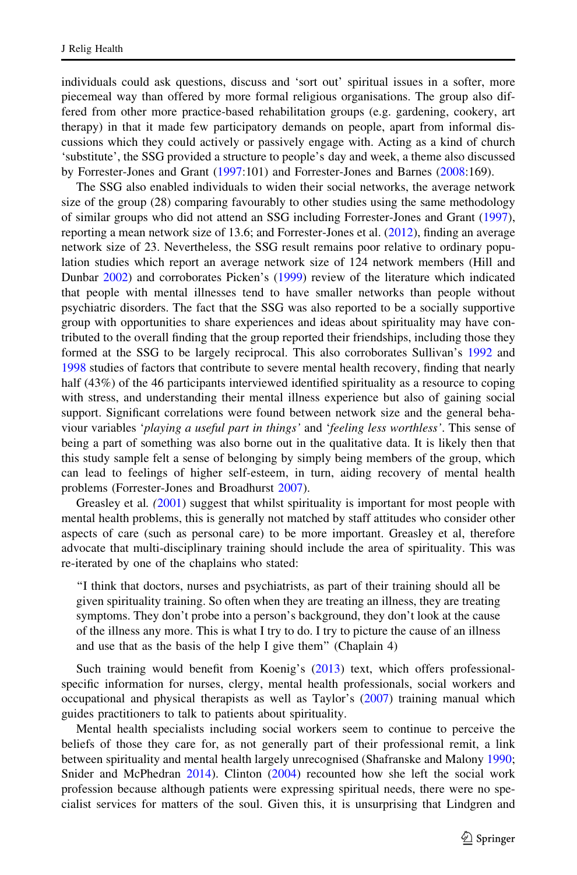<span id="page-19-0"></span>individuals could ask questions, discuss and 'sort out' spiritual issues in a softer, more piecemeal way than offered by more formal religious organisations. The group also differed from other more practice-based rehabilitation groups (e.g. gardening, cookery, art therapy) in that it made few participatory demands on people, apart from informal discussions which they could actively or passively engage with. Acting as a kind of church 'substitute', the SSG provided a structure to people's day and week, a theme also discussed by Forrester-Jones and Grant ([1997:](#page-20-0)101) and Forrester-Jones and Barnes [\(2008](#page-20-0):169).

The SSG also enabled individuals to widen their social networks, the average network size of the group (28) comparing favourably to other studies using the same methodology of similar groups who did not attend an SSG including Forrester-Jones and Grant [\(1997](#page-20-0)), reporting a mean network size of 13.6; and Forrester-Jones et al. ([2012\)](#page-20-0), finding an average network size of 23. Nevertheless, the SSG result remains poor relative to ordinary population studies which report an average network size of 124 network members (Hill and Dunbar [2002\)](#page-21-0) and corroborates Picken's ([1999\)](#page-22-0) review of the literature which indicated that people with mental illnesses tend to have smaller networks than people without psychiatric disorders. The fact that the SSG was also reported to be a socially supportive group with opportunities to share experiences and ideas about spirituality may have contributed to the overall finding that the group reported their friendships, including those they formed at the SSG to be largely reciprocal. This also corroborates Sullivan's [1992](#page-22-0) and [1998](#page-22-0) studies of factors that contribute to severe mental health recovery, finding that nearly half (43%) of the 46 participants interviewed identified spirituality as a resource to coping with stress, and understanding their mental illness experience but also of gaining social support. Significant correlations were found between network size and the general behaviour variables '*playing a useful part in things'* and '*feeling less worthless'*. This sense of being a part of something was also borne out in the qualitative data. It is likely then that this study sample felt a sense of belonging by simply being members of the group, which can lead to feelings of higher self-esteem, in turn, aiding recovery of mental health problems (Forrester-Jones and Broadhurst [2007\)](#page-20-0).

Greasley et al*. (*[2001\)](#page-21-0) suggest that whilst spirituality is important for most people with mental health problems, this is generally not matched by staff attitudes who consider other aspects of care (such as personal care) to be more important. Greasley et al, therefore advocate that multi-disciplinary training should include the area of spirituality. This was re-iterated by one of the chaplains who stated:

''I think that doctors, nurses and psychiatrists, as part of their training should all be given spirituality training. So often when they are treating an illness, they are treating symptoms. They don't probe into a person's background, they don't look at the cause of the illness any more. This is what I try to do. I try to picture the cause of an illness and use that as the basis of the help I give them'' (Chaplain 4)

Such training would benefit from Koenig's [\(2013](#page-21-0)) text, which offers professionalspecific information for nurses, clergy, mental health professionals, social workers and occupational and physical therapists as well as Taylor's [\(2007](#page-22-0)) training manual which guides practitioners to talk to patients about spirituality.

Mental health specialists including social workers seem to continue to perceive the beliefs of those they care for, as not generally part of their professional remit, a link between spirituality and mental health largely unrecognised (Shafranske and Malony [1990;](#page-22-0) Snider and McPhedran [2014](#page-22-0)). Clinton [\(2004](#page-20-0)) recounted how she left the social work profession because although patients were expressing spiritual needs, there were no specialist services for matters of the soul. Given this, it is unsurprising that Lindgren and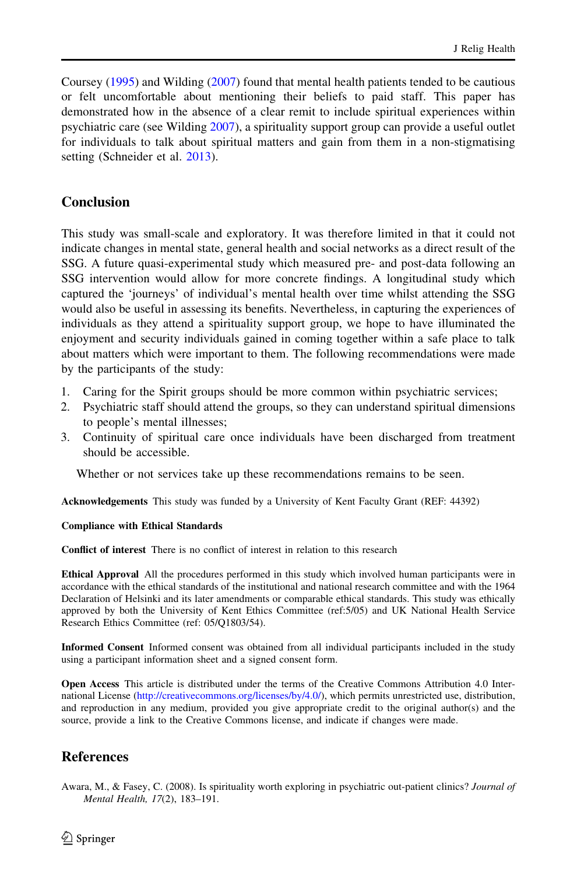<span id="page-20-0"></span>Coursey ([1995\)](#page-21-0) and Wilding ([2007\)](#page-22-0) found that mental health patients tended to be cautious or felt uncomfortable about mentioning their beliefs to paid staff. This paper has demonstrated how in the absence of a clear remit to include spiritual experiences within psychiatric care (see Wilding [2007\)](#page-22-0), a spirituality support group can provide a useful outlet for individuals to talk about spiritual matters and gain from them in a non-stigmatising setting (Schneider et al. [2013\)](#page-22-0).

# Conclusion

This study was small-scale and exploratory. It was therefore limited in that it could not indicate changes in mental state, general health and social networks as a direct result of the SSG. A future quasi-experimental study which measured pre- and post-data following an SSG intervention would allow for more concrete findings. A longitudinal study which captured the 'journeys' of individual's mental health over time whilst attending the SSG would also be useful in assessing its benefits. Nevertheless, in capturing the experiences of individuals as they attend a spirituality support group, we hope to have illuminated the enjoyment and security individuals gained in coming together within a safe place to talk about matters which were important to them. The following recommendations were made by the participants of the study:

- 1. Caring for the Spirit groups should be more common within psychiatric services;
- 2. Psychiatric staff should attend the groups, so they can understand spiritual dimensions to people's mental illnesses;
- 3. Continuity of spiritual care once individuals have been discharged from treatment should be accessible.

Whether or not services take up these recommendations remains to be seen.

Acknowledgements This study was funded by a University of Kent Faculty Grant (REF: 44392)

#### Compliance with Ethical Standards

Conflict of interest There is no conflict of interest in relation to this research

Ethical Approval All the procedures performed in this study which involved human participants were in accordance with the ethical standards of the institutional and national research committee and with the 1964 Declaration of Helsinki and its later amendments or comparable ethical standards. This study was ethically approved by both the University of Kent Ethics Committee (ref:5/05) and UK National Health Service Research Ethics Committee (ref: 05/Q1803/54).

Informed Consent Informed consent was obtained from all individual participants included in the study using a participant information sheet and a signed consent form.

Open Access This article is distributed under the terms of the Creative Commons Attribution 4.0 International License [\(http://creativecommons.org/licenses/by/4.0/\)](http://creativecommons.org/licenses/by/4.0/), which permits unrestricted use, distribution, and reproduction in any medium, provided you give appropriate credit to the original author(s) and the source, provide a link to the Creative Commons license, and indicate if changes were made.

# References

Awara, M., & Fasey, C. (2008). Is spirituality worth exploring in psychiatric out-patient clinics? *Journal of Mental Health, 17*(2), 183–191.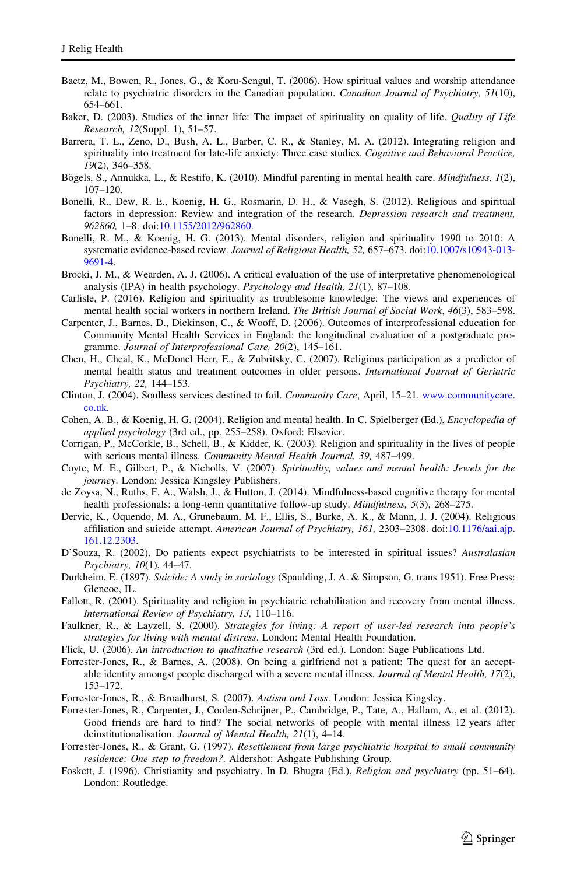- <span id="page-21-0"></span>Baetz, M., Bowen, R., Jones, G., & Koru-Sengul, T. (2006). How spiritual values and worship attendance relate to psychiatric disorders in the Canadian population. *Canadian Journal of Psychiatry, 51*(10), 654–661.
- Baker, D. (2003). Studies of the inner life: The impact of spirituality on quality of life. *Quality of Life Research, 12*(Suppl. 1), 51–57.
- Barrera, T. L., Zeno, D., Bush, A. L., Barber, C. R., & Stanley, M. A. (2012). Integrating religion and spirituality into treatment for late-life anxiety: Three case studies. *Cognitive and Behavioral Practice, 19*(2), 346–358.
- Bögels, S., Annukka, L., & Restifo, K. (2010). Mindful parenting in mental health care. *Mindfulness*, 1(2), 107–120.
- Bonelli, R., Dew, R. E., Koenig, H. G., Rosmarin, D. H., & Vasegh, S. (2012). Religious and spiritual factors in depression: Review and integration of the research. *Depression research and treatment, 962860,* 1–8. doi[:10.1155/2012/962860](http://dx.doi.org/10.1155/2012/962860).
- Bonelli, R. M., & Koenig, H. G. (2013). Mental disorders, religion and spirituality 1990 to 2010: A systematic evidence-based review. *Journal of Religious Health, 52,* 657–673. doi[:10.1007/s10943-013-](http://dx.doi.org/10.1007/s10943-013-9691-4) [9691-4](http://dx.doi.org/10.1007/s10943-013-9691-4).
- Brocki, J. M., & Wearden, A. J. (2006). A critical evaluation of the use of interpretative phenomenological analysis (IPA) in health psychology. *Psychology and Health, 21*(1), 87–108.
- Carlisle, P. (2016). Religion and spirituality as troublesome knowledge: The views and experiences of mental health social workers in northern Ireland. *The British Journal of Social Work*, *46*(3), 583–598.
- Carpenter, J., Barnes, D., Dickinson, C., & Wooff, D. (2006). Outcomes of interprofessional education for Community Mental Health Services in England: the longitudinal evaluation of a postgraduate programme. *Journal of Interprofessional Care, 20*(2), 145–161.
- Chen, H., Cheal, K., McDonel Herr, E., & Zubritsky, C. (2007). Religious participation as a predictor of mental health status and treatment outcomes in older persons. *International Journal of Geriatric Psychiatry, 22,* 144–153.
- Clinton, J. (2004). Soulless services destined to fail. *Community Care*, April, 15–21. [www.communitycare.](http://www.communitycare.co.uk) [co.uk](http://www.communitycare.co.uk).
- Cohen, A. B., & Koenig, H. G. (2004). Religion and mental health. In C. Spielberger (Ed.), *Encyclopedia of applied psychology* (3rd ed., pp. 255–258). Oxford: Elsevier.
- Corrigan, P., McCorkle, B., Schell, B., & Kidder, K. (2003). Religion and spirituality in the lives of people with serious mental illness. *Community Mental Health Journal, 39,* 487–499.
- Coyte, M. E., Gilbert, P., & Nicholls, V. (2007). *Spirituality, values and mental health: Jewels for the journey*. London: Jessica Kingsley Publishers.
- de Zoysa, N., Ruths, F. A., Walsh, J., & Hutton, J. (2014). Mindfulness-based cognitive therapy for mental health professionals: a long-term quantitative follow-up study. *Mindfulness, 5*(3), 268–275.
- Dervic, K., Oquendo, M. A., Grunebaum, M. F., Ellis, S., Burke, A. K., & Mann, J. J. (2004). Religious affiliation and suicide attempt. *American Journal of Psychiatry, 161,* 2303–2308. doi[:10.1176/aai.ajp.](http://dx.doi.org/10.1176/aai.ajp.161.12.2303) [161.12.2303.](http://dx.doi.org/10.1176/aai.ajp.161.12.2303)
- D'Souza, R. (2002). Do patients expect psychiatrists to be interested in spiritual issues? *Australasian Psychiatry, 10*(1), 44–47.
- Durkheim, E. (1897). *Suicide: A study in sociology* (Spaulding, J. A. & Simpson, G. trans 1951). Free Press: Glencoe, IL.
- Fallott, R. (2001). Spirituality and religion in psychiatric rehabilitation and recovery from mental illness. *International Review of Psychiatry, 13,* 110–116.
- Faulkner, R., & Layzell, S. (2000). *Strategies for living: A report of user-led research into people's strategies for living with mental distress*. London: Mental Health Foundation.
- Flick, U. (2006). *An introduction to qualitative research* (3rd ed.). London: Sage Publications Ltd.
- Forrester-Jones, R., & Barnes, A. (2008). On being a girlfriend not a patient: The quest for an acceptable identity amongst people discharged with a severe mental illness. *Journal of Mental Health, 17*(2), 153–172.
- Forrester-Jones, R., & Broadhurst, S. (2007). *Autism and Loss*. London: Jessica Kingsley.
- Forrester-Jones, R., Carpenter, J., Coolen-Schrijner, P., Cambridge, P., Tate, A., Hallam, A., et al. (2012). Good friends are hard to find? The social networks of people with mental illness 12 years after deinstitutionalisation. *Journal of Mental Health, 21*(1), 4–14.
- Forrester-Jones, R., & Grant, G. (1997). *Resettlement from large psychiatric hospital to small community residence: One step to freedom?*. Aldershot: Ashgate Publishing Group.
- Foskett, J. (1996). Christianity and psychiatry. In D. Bhugra (Ed.), *Religion and psychiatry* (pp. 51–64). London: Routledge.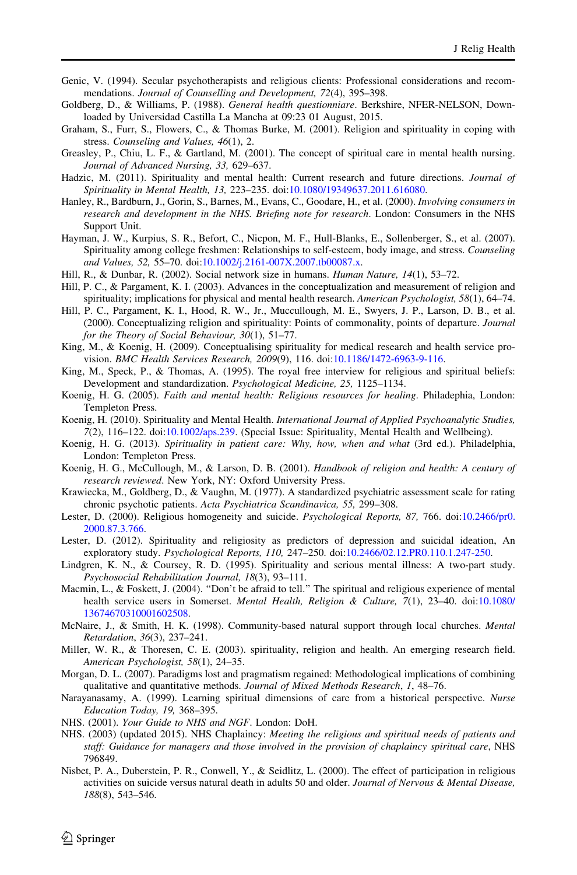- <span id="page-22-0"></span>Genic, V. (1994). Secular psychotherapists and religious clients: Professional considerations and recommendations. *Journal of Counselling and Development, 72*(4), 395–398.
- Goldberg, D., & Williams, P. (1988). *General health questionniare*. Berkshire, NFER-NELSON, Downloaded by Universidad Castilla La Mancha at 09:23 01 August, 2015.
- Graham, S., Furr, S., Flowers, C., & Thomas Burke, M. (2001). Religion and spirituality in coping with stress. *Counseling and Values, 46*(1), 2.
- Greasley, P., Chiu, L. F., & Gartland, M. (2001). The concept of spiritual care in mental health nursing. *Journal of Advanced Nursing, 33,* 629–637.
- Hadzic, M. (2011). Spirituality and mental health: Current research and future directions. *Journal of Spirituality in Mental Health, 13,* 223–235. doi[:10.1080/19349637.2011.616080.](http://dx.doi.org/10.1080/19349637.2011.616080)
- Hanley, R., Bardburn, J., Gorin, S., Barnes, M., Evans, C., Goodare, H., et al. (2000). *Involving consumers in research and development in the NHS. Briefing note for research*. London: Consumers in the NHS Support Unit.
- Hayman, J. W., Kurpius, S. R., Befort, C., Nicpon, M. F., Hull-Blanks, E., Sollenberger, S., et al. (2007). Spirituality among college freshmen: Relationships to self-esteem, body image, and stress. *Counseling and Values, 52,* 55–70. doi[:10.1002/j.2161-007X.2007.tb00087.x.](http://dx.doi.org/10.1002/j.2161-007X.2007.tb00087.x)
- Hill, R., & Dunbar, R. (2002). Social network size in humans. *Human Nature, 14*(1), 53–72.
- Hill, P. C., & Pargament, K. I. (2003). Advances in the conceptualization and measurement of religion and spirituality; implications for physical and mental health research. *American Psychologist, 58*(1), 64–74.
- Hill, P. C., Pargament, K. I., Hood, R. W., Jr., Muccullough, M. E., Swyers, J. P., Larson, D. B., et al. (2000). Conceptualizing religion and spirituality: Points of commonality, points of departure. *Journal for the Theory of Social Behaviour, 30*(1), 51–77.
- King, M., & Koenig, H. (2009). Conceptualising spirituality for medical research and health service provision. *BMC Health Services Research, 2009*(9), 116. doi[:10.1186/1472-6963-9-116.](http://dx.doi.org/10.1186/1472-6963-9-116)
- King, M., Speck, P., & Thomas, A. (1995). The royal free interview for religious and spiritual beliefs: Development and standardization. *Psychological Medicine, 25,* 1125–1134.
- Koenig, H. G. (2005). *Faith and mental health: Religious resources for healing*. Philadephia, London: Templeton Press.
- Koenig, H. (2010). Spirituality and Mental Health. *International Journal of Applied Psychoanalytic Studies, 7*(2), 116–122. doi:[10.1002/aps.239](http://dx.doi.org/10.1002/aps.239). (Special Issue: Spirituality, Mental Health and Wellbeing).
- Koenig, H. G. (2013). *Spirituality in patient care: Why, how, when and what* (3rd ed.). Philadelphia, London: Templeton Press.
- Koenig, H. G., McCullough, M., & Larson, D. B. (2001). *Handbook of religion and health: A century of research reviewed*. New York, NY: Oxford University Press.
- Krawiecka, M., Goldberg, D., & Vaughn, M. (1977). A standardized psychiatric assessment scale for rating chronic psychotic patients. *Acta Psychiatrica Scandinavica, 55,* 299–308.
- Lester, D. (2000). Religious homogeneity and suicide. *Psychological Reports, 87,* 766. doi:[10.2466/pr0.](http://dx.doi.org/10.2466/pr0.2000.87.3.766) [2000.87.3.766](http://dx.doi.org/10.2466/pr0.2000.87.3.766).
- Lester, D. (2012). Spirituality and religiosity as predictors of depression and suicidal ideation, An exploratory study. *Psychological Reports, 110,* 247–250. doi:[10.2466/02.12.PR0.110.1.247-250.](http://dx.doi.org/10.2466/02.12.PR0.110.1.247-250)
- Lindgren, K. N., & Coursey, R. D. (1995). Spirituality and serious mental illness: A two-part study. *Psychosocial Rehabilitation Journal, 18*(3), 93–111.
- Macmin, L., & Foskett, J. (2004). ''Don't be afraid to tell.'' The spiritual and religious experience of mental health service users in Somerset. *Mental Health, Religion & Culture, 7*(1), 23–40. doi:[10.1080/](http://dx.doi.org/10.1080/13674670310001602508) [13674670310001602508](http://dx.doi.org/10.1080/13674670310001602508).
- McNaire, J., & Smith, H. K. (1998). Community-based natural support through local churches. *Mental Retardation*, *36*(3), 237–241.
- Miller, W. R., & Thoresen, C. E. (2003). spirituality, religion and health. An emerging research field. *American Psychologist, 58*(1), 24–35.
- Morgan, D. L. (2007). Paradigms lost and pragmatism regained: Methodological implications of combining qualitative and quantitative methods. *Journal of Mixed Methods Research*, *1*, 48–76.
- Narayanasamy, A. (1999). Learning spiritual dimensions of care from a historical perspective. *Nurse Education Today, 19,* 368–395.
- NHS. (2001). *Your Guide to NHS and NGF*. London: DoH.
- NHS. (2003) (updated 2015). NHS Chaplaincy: *Meeting the religious and spiritual needs of patients and staff: Guidance for managers and those involved in the provision of chaplaincy spiritual care*, NHS 796849.
- Nisbet, P. A., Duberstein, P. R., Conwell, Y., & Seidlitz, L. (2000). The effect of participation in religious activities on suicide versus natural death in adults 50 and older. *Journal of Nervous & Mental Disease, 188*(8), 543–546.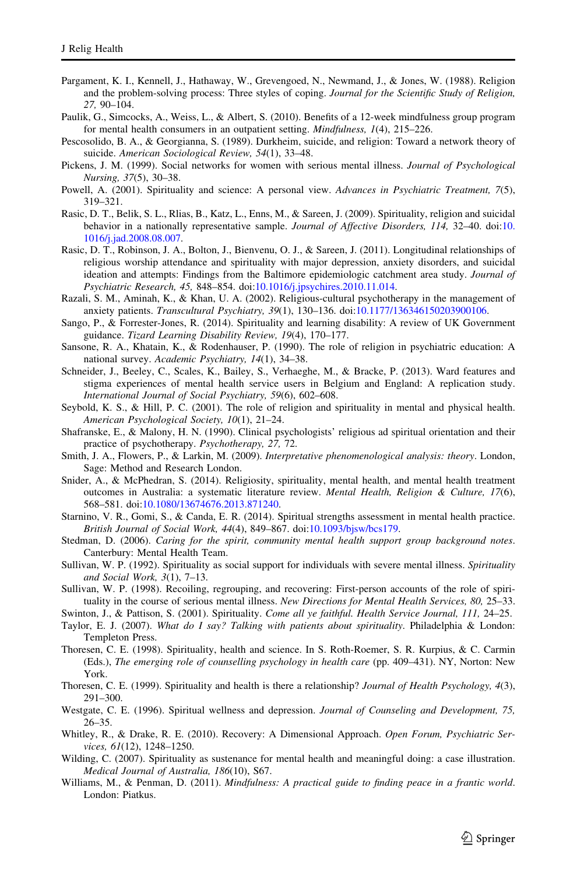- <span id="page-23-0"></span>Pargament, K. I., Kennell, J., Hathaway, W., Grevengoed, N., Newmand, J., & Jones, W. (1988). Religion and the problem-solving process: Three styles of coping. *Journal for the Scientific Study of Religion, 27,* 90–104.
- Paulik, G., Simcocks, A., Weiss, L., & Albert, S. (2010). Benefits of a 12-week mindfulness group program for mental health consumers in an outpatient setting. *Mindfulness, 1*(4), 215–226.
- Pescosolido, B. A., & Georgianna, S. (1989). Durkheim, suicide, and religion: Toward a network theory of suicide. *American Sociological Review, 54*(1), 33–48.
- Pickens, J. M. (1999). Social networks for women with serious mental illness. *Journal of Psychological Nursing, 37*(5), 30–38.
- Powell, A. (2001). Spirituality and science: A personal view. *Advances in Psychiatric Treatment, 7*(5), 319–321.
- Rasic, D. T., Belik, S. L., Rlias, B., Katz, L., Enns, M., & Sareen, J. (2009). Spirituality, religion and suicidal behavior in a nationally representative sample. *Journal of Affective Disorders, 114,* 32–40. doi:[10.](http://dx.doi.org/10.1016/j.jad.2008.08.007) [1016/j.jad.2008.08.007.](http://dx.doi.org/10.1016/j.jad.2008.08.007)
- Rasic, D. T., Robinson, J. A., Bolton, J., Bienvenu, O. J., & Sareen, J. (2011). Longitudinal relationships of religious worship attendance and spirituality with major depression, anxiety disorders, and suicidal ideation and attempts: Findings from the Baltimore epidemiologic catchment area study. *Journal of Psychiatric Research, 45,* 848–854. doi:[10.1016/j.jpsychires.2010.11.014.](http://dx.doi.org/10.1016/j.jpsychires.2010.11.014)
- Razali, S. M., Aminah, K., & Khan, U. A. (2002). Religious-cultural psychotherapy in the management of anxiety patients. *Transcultural Psychiatry, 39*(1), 130–136. doi[:10.1177/136346150203900106.](http://dx.doi.org/10.1177/136346150203900106)
- Sango, P., & Forrester-Jones, R. (2014). Spirituality and learning disability: A review of UK Government guidance. *Tizard Learning Disability Review, 19*(4), 170–177.
- Sansone, R. A., Khatain, K., & Rodenhauser, P. (1990). The role of religion in psychiatric education: A national survey. *Academic Psychiatry, 14*(1), 34–38.
- Schneider, J., Beeley, C., Scales, K., Bailey, S., Verhaeghe, M., & Bracke, P. (2013). Ward features and stigma experiences of mental health service users in Belgium and England: A replication study. *International Journal of Social Psychiatry, 59*(6), 602–608.
- Seybold, K. S., & Hill, P. C. (2001). The role of religion and spirituality in mental and physical health. *American Psychological Society, 10*(1), 21–24.
- Shafranske, E., & Malony, H. N. (1990). Clinical psychologists' religious ad spiritual orientation and their practice of psychotherapy. *Psychotherapy, 27,* 72.
- Smith, J. A., Flowers, P., & Larkin, M. (2009). *Interpretative phenomenological analysis: theory*. London, Sage: Method and Research London.
- Snider, A., & McPhedran, S. (2014). Religiosity, spirituality, mental health, and mental health treatment outcomes in Australia: a systematic literature review. *Mental Health, Religion & Culture, 17*(6), 568–581. doi:[10.1080/13674676.2013.871240](http://dx.doi.org/10.1080/13674676.2013.871240).
- Starnino, V. R., Gomi, S., & Canda, E. R. (2014). Spiritual strengths assessment in mental health practice. *British Journal of Social Work, 44*(4), 849–867. doi:[10.1093/bjsw/bcs179](http://dx.doi.org/10.1093/bjsw/bcs179).
- Stedman, D. (2006). *Caring for the spirit, community mental health support group background notes*. Canterbury: Mental Health Team.
- Sullivan, W. P. (1992). Spirituality as social support for individuals with severe mental illness. *Spirituality and Social Work, 3*(1), 7–13.
- Sullivan, W. P. (1998). Recoiling, regrouping, and recovering: First-person accounts of the role of spirituality in the course of serious mental illness. *New Directions for Mental Health Services, 80,* 25–33.
- Swinton, J., & Pattison, S. (2001). Spirituality. *Come all ye faithful. Health Service Journal, 111,* 24–25.
- Taylor, E. J. (2007). *What do I say? Talking with patients about spirituality*. Philadelphia & London: Templeton Press.
- Thoresen, C. E. (1998). Spirituality, health and science. In S. Roth-Roemer, S. R. Kurpius, & C. Carmin (Eds.), *The emerging role of counselling psychology in health care* (pp. 409–431). NY, Norton: New York.
- Thoresen, C. E. (1999). Spirituality and health is there a relationship? *Journal of Health Psychology, 4*(3), 291–300.
- Westgate, C. E. (1996). Spiritual wellness and depression. *Journal of Counseling and Development, 75,* 26–35.
- Whitley, R., & Drake, R. E. (2010). Recovery: A Dimensional Approach. *Open Forum, Psychiatric Services, 61*(12), 1248–1250.
- Wilding, C. (2007). Spirituality as sustenance for mental health and meaningful doing: a case illustration. *Medical Journal of Australia, 186*(10), S67.
- Williams, M., & Penman, D. (2011). *Mindfulness: A practical guide to finding peace in a frantic world*. London: Piatkus.